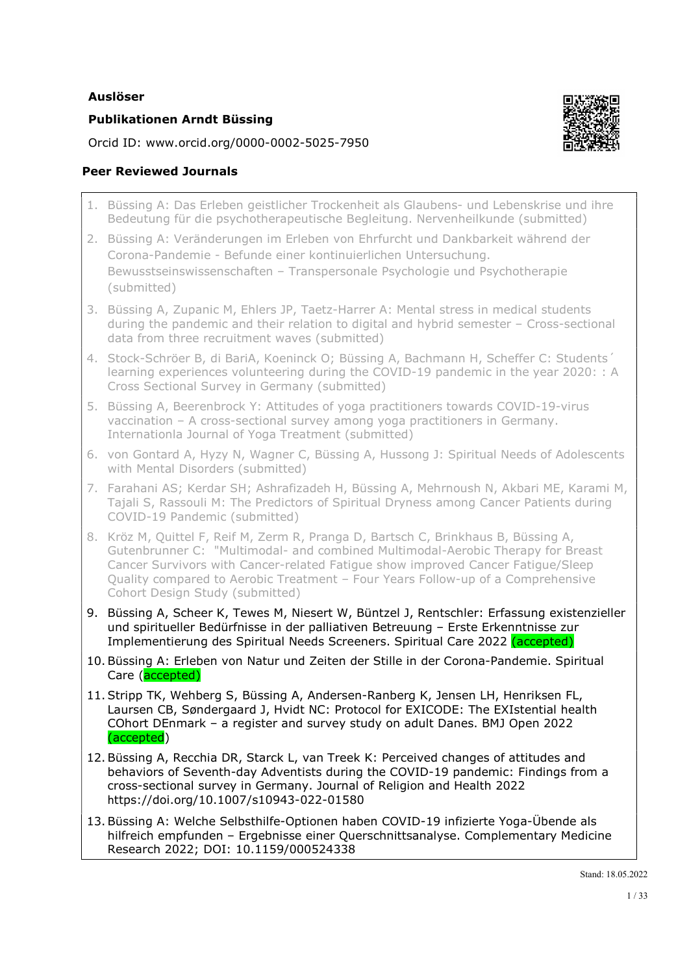### Auslöser

## Publikationen Arndt Büssing

Orcid ID: www.orcid.org/0000-0002-5025-7950

# Peer Reviewed Journals

- 1. Büssing A: Das Erleben geistlicher Trockenheit als Glaubens- und Lebenskrise und ihre Bedeutung für die psychotherapeutische Begleitung. Nervenheilkunde (submitted)
- 2. Büssing A: Veränderungen im Erleben von Ehrfurcht und Dankbarkeit während der Corona-Pandemie - Befunde einer kontinuierlichen Untersuchung. Bewusstseinswissenschaften – Transpersonale Psychologie und Psychotherapie (submitted)
- 3. Büssing A, Zupanic M, Ehlers JP, Taetz-Harrer A: Mental stress in medical students during the pandemic and their relation to digital and hybrid semester – Cross-sectional data from three recruitment waves (submitted)
- 4. Stock-Schröer B, di BariA, Koeninck O; Büssing A, Bachmann H, Scheffer C: Students´ learning experiences volunteering during the COVID-19 pandemic in the year 2020: : A Cross Sectional Survey in Germany (submitted)
- 5. Büssing A, Beerenbrock Y: Attitudes of yoga practitioners towards COVID-19-virus vaccination – A cross-sectional survey among yoga practitioners in Germany. Internationla Journal of Yoga Treatment (submitted)
- 6. von Gontard A, Hyzy N, Wagner C, Büssing A, Hussong J: Spiritual Needs of Adolescents with Mental Disorders (submitted)
- 7. Farahani AS; Kerdar SH; Ashrafizadeh H, Büssing A, Mehrnoush N, Akbari ME, Karami M, Tajali S, Rassouli M: The Predictors of Spiritual Dryness among Cancer Patients during COVID-19 Pandemic (submitted)
- 8. Kröz M, Quittel F, Reif M, Zerm R, Pranga D, Bartsch C, Brinkhaus B, Büssing A, Gutenbrunner C: "Multimodal- and combined Multimodal-Aerobic Therapy for Breast Cancer Survivors with Cancer-related Fatigue show improved Cancer Fatigue/Sleep Quality compared to Aerobic Treatment – Four Years Follow-up of a Comprehensive Cohort Design Study (submitted)
- 9. Büssing A, Scheer K, Tewes M, Niesert W, Büntzel J, Rentschler: Erfassung existenzieller und spiritueller Bedürfnisse in der palliativen Betreuung – Erste Erkenntnisse zur Implementierung des Spiritual Needs Screeners. Spiritual Care 2022 (accepted)
- 10. Büssing A: Erleben von Natur und Zeiten der Stille in der Corona-Pandemie. Spiritual Care (accepted)
- 11. Stripp TK, Wehberg S, Büssing A, Andersen-Ranberg K, Jensen LH, Henriksen FL, Laursen CB, Søndergaard J, Hvidt NC: Protocol for EXICODE: The EXIstential health COhort DEnmark – a register and survey study on adult Danes. BMJ Open 2022 (accepted)
- 12. Büssing A, Recchia DR, Starck L, van Treek K: Perceived changes of attitudes and behaviors of Seventh-day Adventists during the COVID-19 pandemic: Findings from a cross-sectional survey in Germany. Journal of Religion and Health 2022 https://doi.org/10.1007/s10943-022-01580
- 13. Büssing A: Welche Selbsthilfe-Optionen haben COVID-19 infizierte Yoga-Übende als hilfreich empfunden – Ergebnisse einer Querschnittsanalyse. Complementary Medicine Research 2022; DOI: 10.1159/000524338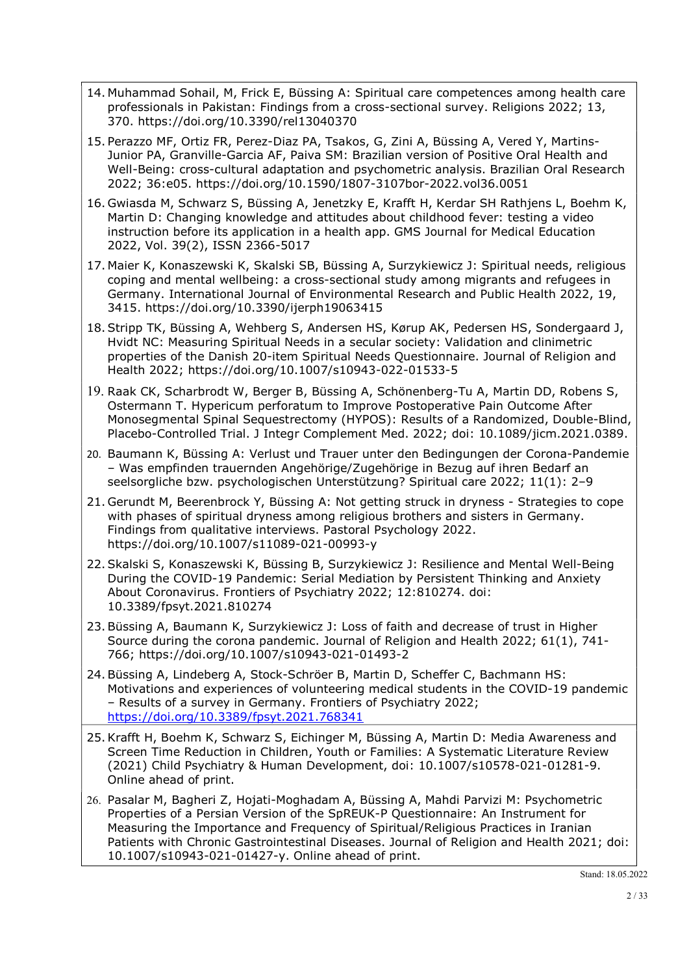- 14. Muhammad Sohail, M, Frick E, Büssing A: Spiritual care competences among health care professionals in Pakistan: Findings from a cross-sectional survey. Religions 2022; 13, 370. https://doi.org/10.3390/rel13040370
- 15. Perazzo MF, Ortiz FR, Perez-Diaz PA, Tsakos, G, Zini A, Büssing A, Vered Y, Martins-Junior PA, Granville-Garcia AF, Paiva SM: Brazilian version of Positive Oral Health and Well-Being: cross-cultural adaptation and psychometric analysis. Brazilian Oral Research 2022; 36:e05. https://doi.org/10.1590/1807-3107bor-2022.vol36.0051
- 16. Gwiasda M, Schwarz S, Büssing A, Jenetzky E, Krafft H, Kerdar SH Rathjens L, Boehm K, Martin D: Changing knowledge and attitudes about childhood fever: testing a video instruction before its application in a health app. GMS Journal for Medical Education 2022, Vol. 39(2), ISSN 2366-5017
- 17. Maier K, Konaszewski K, Skalski SB, Büssing A, Surzykiewicz J: Spiritual needs, religious coping and mental wellbeing: a cross-sectional study among migrants and refugees in Germany. International Journal of Environmental Research and Public Health 2022, 19, 3415. https://doi.org/10.3390/ijerph19063415
- 18. Stripp TK, Büssing A, Wehberg S, Andersen HS, Kørup AK, Pedersen HS, Sondergaard J, Hvidt NC: Measuring Spiritual Needs in a secular society: Validation and clinimetric properties of the Danish 20-item Spiritual Needs Questionnaire. Journal of Religion and Health 2022; https://doi.org/10.1007/s10943-022-01533-5
- 19. Raak CK, Scharbrodt W, Berger B, Büssing A, Schönenberg-Tu A, Martin DD, Robens S, Ostermann T. Hypericum perforatum to Improve Postoperative Pain Outcome After Monosegmental Spinal Sequestrectomy (HYPOS): Results of a Randomized, Double-Blind, Placebo-Controlled Trial. J Integr Complement Med. 2022; doi: 10.1089/jicm.2021.0389.
- 20. Baumann K, Büssing A: Verlust und Trauer unter den Bedingungen der Corona-Pandemie – Was empfinden trauernden Angehörige/Zugehörige in Bezug auf ihren Bedarf an seelsorgliche bzw. psychologischen Unterstützung? Spiritual care 2022; 11(1): 2–9
- 21. Gerundt M, Beerenbrock Y, Büssing A: Not getting struck in dryness Strategies to cope with phases of spiritual dryness among religious brothers and sisters in Germany. Findings from qualitative interviews. Pastoral Psychology 2022. https://doi.org/10.1007/s11089-021-00993-y
- 22. Skalski S, Konaszewski K, Büssing B, Surzykiewicz J: Resilience and Mental Well-Being During the COVID-19 Pandemic: Serial Mediation by Persistent Thinking and Anxiety About Coronavirus. Frontiers of Psychiatry 2022; 12:810274. doi: 10.3389/fpsyt.2021.810274
- 23. Büssing A, Baumann K, Surzykiewicz J: Loss of faith and decrease of trust in Higher Source during the corona pandemic. Journal of Religion and Health 2022; 61(1), 741- 766; https://doi.org/10.1007/s10943-021-01493-2
- 24. Büssing A, Lindeberg A, Stock-Schröer B, Martin D, Scheffer C, Bachmann HS: Motivations and experiences of volunteering medical students in the COVID-19 pandemic – Results of a survey in Germany. Frontiers of Psychiatry 2022; https://doi.org/10.3389/fpsyt.2021.768341
- 25.Krafft H, Boehm K, Schwarz S, Eichinger M, Büssing A, Martin D: Media Awareness and Screen Time Reduction in Children, Youth or Families: A Systematic Literature Review (2021) Child Psychiatry & Human Development, doi: 10.1007/s10578-021-01281-9. Online ahead of print.
- 26. Pasalar M, Bagheri Z, Hojati-Moghadam A, Büssing A, Mahdi Parvizi M: Psychometric Properties of a Persian Version of the SpREUK-P Questionnaire: An Instrument for Measuring the Importance and Frequency of Spiritual/Religious Practices in Iranian Patients with Chronic Gastrointestinal Diseases. Journal of Religion and Health 2021; doi: 10.1007/s10943-021-01427-y. Online ahead of print.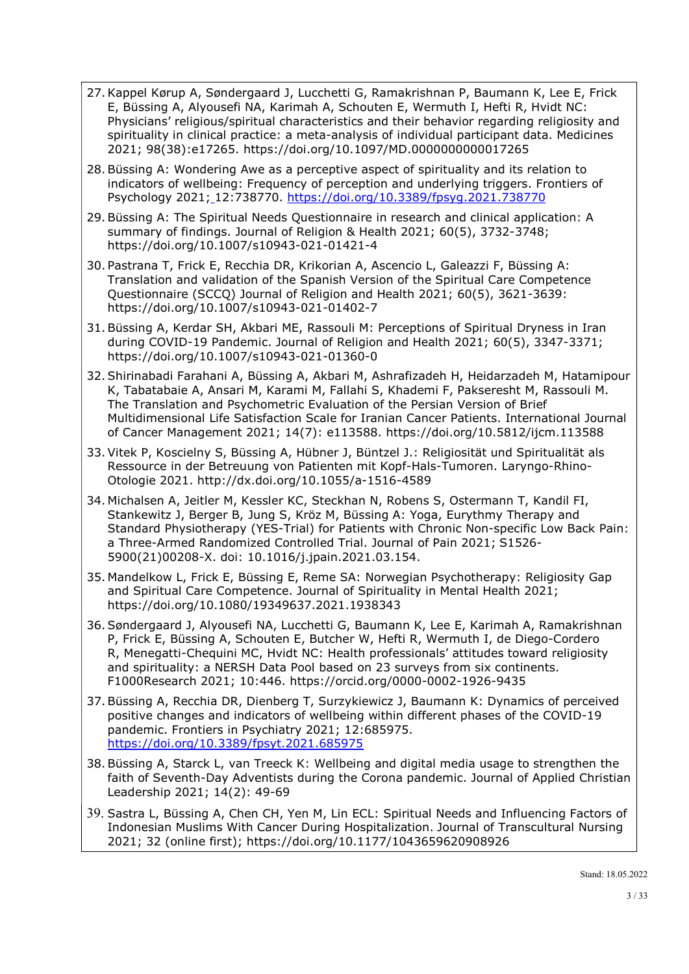- 27.Kappel Kørup A, Søndergaard J, Lucchetti G, Ramakrishnan P, Baumann K, Lee E, Frick E, Büssing A, Alyousefi NA, Karimah A, Schouten E, Wermuth I, Hefti R, Hvidt NC: Physicians' religious/spiritual characteristics and their behavior regarding religiosity and spirituality in clinical practice: a meta-analysis of individual participant data. Medicines 2021; 98(38):e17265. https://doi.org/10.1097/MD.0000000000017265
- 28. Büssing A: Wondering Awe as a perceptive aspect of spirituality and its relation to indicators of wellbeing: Frequency of perception and underlying triggers. Frontiers of Psychology 2021; 12:738770. https://doi.org/10.3389/fpsyg.2021.738770
- 29. Büssing A: The Spiritual Needs Questionnaire in research and clinical application: A summary of findings. Journal of Religion & Health 2021; 60(5), 3732-3748; https://doi.org/10.1007/s10943-021-01421-4
- 30. Pastrana T, Frick E, Recchia DR, Krikorian A, Ascencio L, Galeazzi F, Büssing A: Translation and validation of the Spanish Version of the Spiritual Care Competence Questionnaire (SCCQ) Journal of Religion and Health 2021; 60(5), 3621-3639: https://doi.org/10.1007/s10943-021-01402-7
- 31. Büssing A, Kerdar SH, Akbari ME, Rassouli M: Perceptions of Spiritual Dryness in Iran during COVID-19 Pandemic. Journal of Religion and Health 2021; 60(5), 3347-3371; https://doi.org/10.1007/s10943-021-01360-0
- 32. Shirinabadi Farahani A, Büssing A, Akbari M, Ashrafizadeh H, Heidarzadeh M, Hatamipour K, Tabatabaie A, Ansari M, Karami M, Fallahi S, Khademi F, Pakseresht M, Rassouli M. The Translation and Psychometric Evaluation of the Persian Version of Brief Multidimensional Life Satisfaction Scale for Iranian Cancer Patients. International Journal of Cancer Management 2021; 14(7): e113588. https://doi.org/10.5812/ijcm.113588
- 33. Vitek P, Koscielny S, Büssing A, Hübner J, Büntzel J.: Religiosität und Spiritualität als Ressource in der Betreuung von Patienten mit Kopf-Hals-Tumoren. Laryngo-Rhino-Otologie 2021. http://dx.doi.org/10.1055/a-1516-4589
- 34. Michalsen A, Jeitler M, Kessler KC, Steckhan N, Robens S, Ostermann T, Kandil FI, Stankewitz J, Berger B, Jung S, Kröz M, Büssing A: Yoga, Eurythmy Therapy and Standard Physiotherapy (YES-Trial) for Patients with Chronic Non-specific Low Back Pain: a Three-Armed Randomized Controlled Trial. Journal of Pain 2021; S1526- 5900(21)00208-X. doi: 10.1016/j.jpain.2021.03.154.
- 35. Mandelkow L, Frick E, Büssing E, Reme SA: Norwegian Psychotherapy: Religiosity Gap and Spiritual Care Competence. Journal of Spirituality in Mental Health 2021; https://doi.org/10.1080/19349637.2021.1938343
- 36. Søndergaard J, Alyousefi NA, Lucchetti G, Baumann K, Lee E, Karimah A, Ramakrishnan P, Frick E, Büssing A, Schouten E, Butcher W, Hefti R, Wermuth I, de Diego-Cordero R, Menegatti-Chequini MC, Hvidt NC: Health professionals' attitudes toward religiosity and spirituality: a NERSH Data Pool based on 23 surveys from six continents. F1000Research 2021; 10:446. https://orcid.org/0000-0002-1926-9435
- 37. Büssing A, Recchia DR, Dienberg T, Surzykiewicz J, Baumann K: Dynamics of perceived positive changes and indicators of wellbeing within different phases of the COVID-19 pandemic. Frontiers in Psychiatry 2021; 12:685975. https://doi.org/10.3389/fpsyt.2021.685975
- 38. Büssing A, Starck L, van Treeck K: Wellbeing and digital media usage to strengthen the faith of Seventh-Day Adventists during the Corona pandemic. Journal of Applied Christian Leadership 2021; 14(2): 49-69
- 39. Sastra L, Büssing A, Chen CH, Yen M, Lin ECL: Spiritual Needs and Influencing Factors of Indonesian Muslims With Cancer During Hospitalization. Journal of Transcultural Nursing 2021; 32 (online first); https://doi.org/10.1177/1043659620908926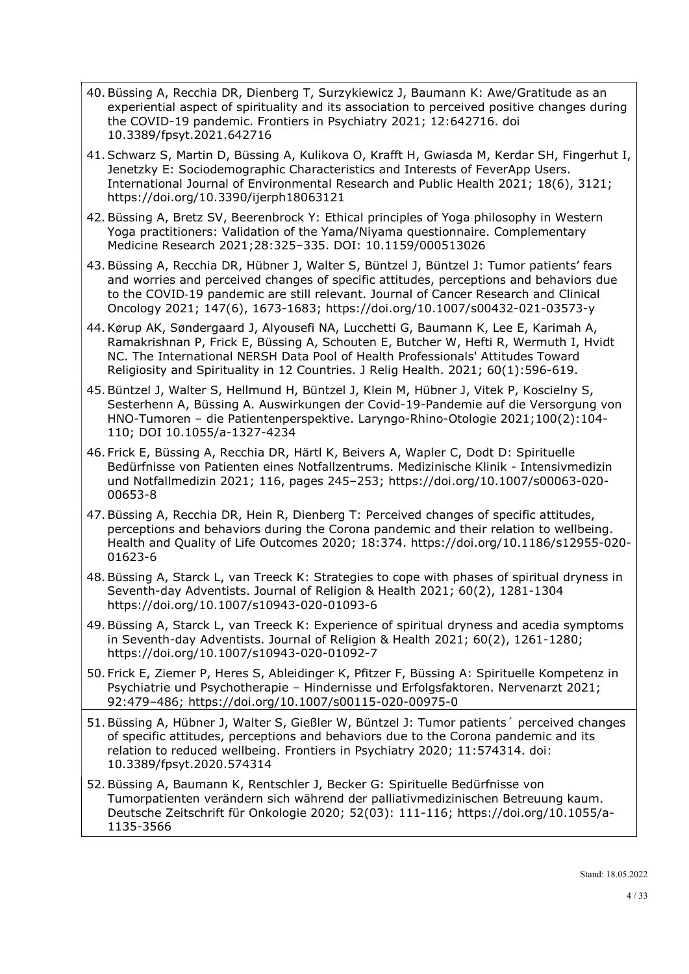- 40. Büssing A, Recchia DR, Dienberg T, Surzykiewicz J, Baumann K: Awe/Gratitude as an experiential aspect of spirituality and its association to perceived positive changes during the COVID-19 pandemic. Frontiers in Psychiatry 2021; 12:642716. doi 10.3389/fpsyt.2021.642716
- 41.Schwarz S, Martin D, Büssing A, Kulikova O, Krafft H, Gwiasda M, Kerdar SH, Fingerhut I, Jenetzky E: Sociodemographic Characteristics and Interests of FeverApp Users. International Journal of Environmental Research and Public Health 2021; 18(6), 3121; https://doi.org/10.3390/ijerph18063121
- 42. Büssing A, Bretz SV, Beerenbrock Y: Ethical principles of Yoga philosophy in Western Yoga practitioners: Validation of the Yama/Niyama questionnaire. Complementary Medicine Research 2021;28:325–335. DOI: 10.1159/000513026
- 43. Büssing A, Recchia DR, Hübner J, Walter S, Büntzel J, Büntzel J: Tumor patients' fears and worries and perceived changes of specific attitudes, perceptions and behaviors due to the COVID‑19 pandemic are still relevant. Journal of Cancer Research and Clinical Oncology 2021; 147(6), 1673-1683; https://doi.org/10.1007/s00432-021-03573-y
- 44.Kørup AK, Søndergaard J, Alyousefi NA, Lucchetti G, Baumann K, Lee E, Karimah A, Ramakrishnan P, Frick E, Büssing A, Schouten E, Butcher W, Hefti R, Wermuth I, Hvidt NC. The International NERSH Data Pool of Health Professionals' Attitudes Toward Religiosity and Spirituality in 12 Countries. J Relig Health. 2021; 60(1):596-619.
- 45.Büntzel J, Walter S, Hellmund H, Büntzel J, Klein M, Hübner J, Vitek P, Koscielny S, Sesterhenn A, Büssing A. Auswirkungen der Covid-19-Pandemie auf die Versorgung von HNO-Tumoren – die Patientenperspektive. Laryngo-Rhino-Otologie 2021;100(2):104- 110; DOI 10.1055/a-1327-4234
- 46. Frick E, Büssing A, Recchia DR, Härtl K, Beivers A, Wapler C, Dodt D: Spirituelle Bedürfnisse von Patienten eines Notfallzentrums. Medizinische Klinik - Intensivmedizin und Notfallmedizin 2021; 116, pages 245–253; https://doi.org/10.1007/s00063-020- 00653-8
- 47.Büssing A, Recchia DR, Hein R, Dienberg T: Perceived changes of specific attitudes, perceptions and behaviors during the Corona pandemic and their relation to wellbeing. Health and Quality of Life Outcomes 2020; 18:374. https://doi.org/10.1186/s12955-020- 01623-6
- 48.Büssing A, Starck L, van Treeck K: Strategies to cope with phases of spiritual dryness in Seventh-day Adventists. Journal of Religion & Health 2021; 60(2), 1281-1304 https://doi.org/10.1007/s10943-020-01093-6
- 49.Büssing A, Starck L, van Treeck K: Experience of spiritual dryness and acedia symptoms in Seventh-day Adventists. Journal of Religion & Health 2021; 60(2), 1261-1280; https://doi.org/10.1007/s10943-020-01092-7
- 50. Frick E, Ziemer P, Heres S, Ableidinger K, Pfitzer F, Büssing A: Spirituelle Kompetenz in Psychiatrie und Psychotherapie – Hindernisse und Erfolgsfaktoren. Nervenarzt 2021; 92:479–486; https://doi.org/10.1007/s00115-020-00975-0
- 51.Büssing A, Hübner J, Walter S, Gießler W, Büntzel J: Tumor patients´ perceived changes of specific attitudes, perceptions and behaviors due to the Corona pandemic and its relation to reduced wellbeing. Frontiers in Psychiatry 2020; 11:574314. doi: 10.3389/fpsyt.2020.574314
- 52. Büssing A, Baumann K, Rentschler J, Becker G: Spirituelle Bedürfnisse von Tumorpatienten verändern sich während der palliativmedizinischen Betreuung kaum. Deutsche Zeitschrift für Onkologie 2020; 52(03): 111-116; https://doi.org/10.1055/a-1135-3566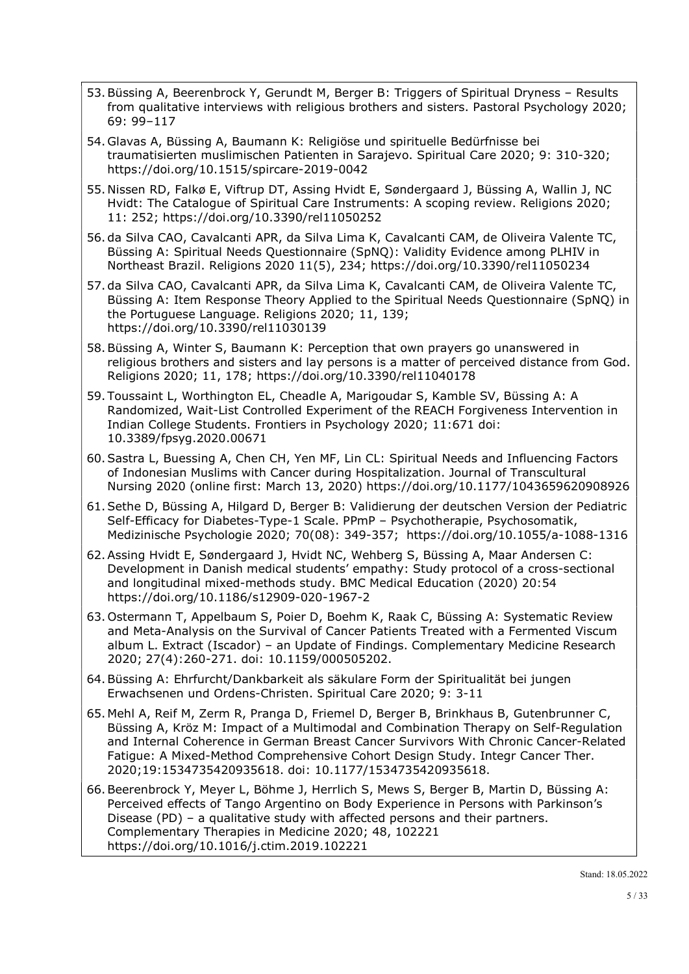- 53.Büssing A, Beerenbrock Y, Gerundt M, Berger B: Triggers of Spiritual Dryness Results from qualitative interviews with religious brothers and sisters. Pastoral Psychology 2020; 69: 99–117
- 54. Glavas A, Büssing A, Baumann K: Religiöse und spirituelle Bedürfnisse bei traumatisierten muslimischen Patienten in Sarajevo. Spiritual Care 2020; 9: 310-320; https://doi.org/10.1515/spircare-2019-0042
- 55. Nissen RD, Falkø E, Viftrup DT, Assing Hvidt E, Søndergaard J, Büssing A, Wallin J, NC Hvidt: The Catalogue of Spiritual Care Instruments: A scoping review. Religions 2020; 11: 252; https://doi.org/10.3390/rel11050252
- 56. da Silva CAO, Cavalcanti APR, da Silva Lima K, Cavalcanti CAM, de Oliveira Valente TC, Büssing A: Spiritual Needs Questionnaire (SpNQ): Validity Evidence among PLHIV in Northeast Brazil. Religions 2020 11(5), 234; https://doi.org/10.3390/rel11050234
- 57. da Silva CAO, Cavalcanti APR, da Silva Lima K, Cavalcanti CAM, de Oliveira Valente TC, Büssing A: Item Response Theory Applied to the Spiritual Needs Questionnaire (SpNQ) in the Portuguese Language. Religions 2020; 11, 139; https://doi.org/10.3390/rel11030139
- 58.Büssing A, Winter S, Baumann K: Perception that own prayers go unanswered in religious brothers and sisters and lay persons is a matter of perceived distance from God. Religions 2020; 11, 178; https://doi.org/10.3390/rel11040178
- 59. Toussaint L, Worthington EL, Cheadle A, Marigoudar S, Kamble SV, Büssing A: A Randomized, Wait-List Controlled Experiment of the REACH Forgiveness Intervention in Indian College Students. Frontiers in Psychology 2020; 11:671 doi: 10.3389/fpsyg.2020.00671
- 60.Sastra L, Buessing A, Chen CH, Yen MF, Lin CL: Spiritual Needs and Influencing Factors of Indonesian Muslims with Cancer during Hospitalization. Journal of Transcultural Nursing 2020 (online first: March 13, 2020) https://doi.org/10.1177/1043659620908926
- 61.Sethe D, Büssing A, Hilgard D, Berger B: Validierung der deutschen Version der Pediatric Self-Efficacy for Diabetes-Type-1 Scale. PPmP – Psychotherapie, Psychosomatik, Medizinische Psychologie 2020; 70(08): 349-357; https://doi.org/10.1055/a-1088-1316
- 62.Assing Hvidt E, Søndergaard J, Hvidt NC, Wehberg S, Büssing A, Maar Andersen C: Development in Danish medical students' empathy: Study protocol of a cross-sectional and longitudinal mixed-methods study. BMC Medical Education (2020) 20:54 https://doi.org/10.1186/s12909-020-1967-2
- 63. Ostermann T, Appelbaum S, Poier D, Boehm K, Raak C, Büssing A: Systematic Review and Meta-Analysis on the Survival of Cancer Patients Treated with a Fermented Viscum album L. Extract (Iscador) – an Update of Findings. Complementary Medicine Research 2020; 27(4):260-271. doi: 10.1159/000505202.
- 64.Büssing A: Ehrfurcht/Dankbarkeit als säkulare Form der Spiritualität bei jungen Erwachsenen und Ordens-Christen. Spiritual Care 2020; 9: 3-11
- 65. Mehl A, Reif M, Zerm R, Pranga D, Friemel D, Berger B, Brinkhaus B, Gutenbrunner C, Büssing A, Kröz M: Impact of a Multimodal and Combination Therapy on Self-Regulation and Internal Coherence in German Breast Cancer Survivors With Chronic Cancer-Related Fatigue: A Mixed-Method Comprehensive Cohort Design Study. Integr Cancer Ther. 2020;19:1534735420935618. doi: 10.1177/1534735420935618.
- 66.Beerenbrock Y, Meyer L, Böhme J, Herrlich S, Mews S, Berger B, Martin D, Büssing A: Perceived effects of Tango Argentino on Body Experience in Persons with Parkinson's Disease (PD) – a qualitative study with affected persons and their partners. Complementary Therapies in Medicine 2020; 48, 102221 https://doi.org/10.1016/j.ctim.2019.102221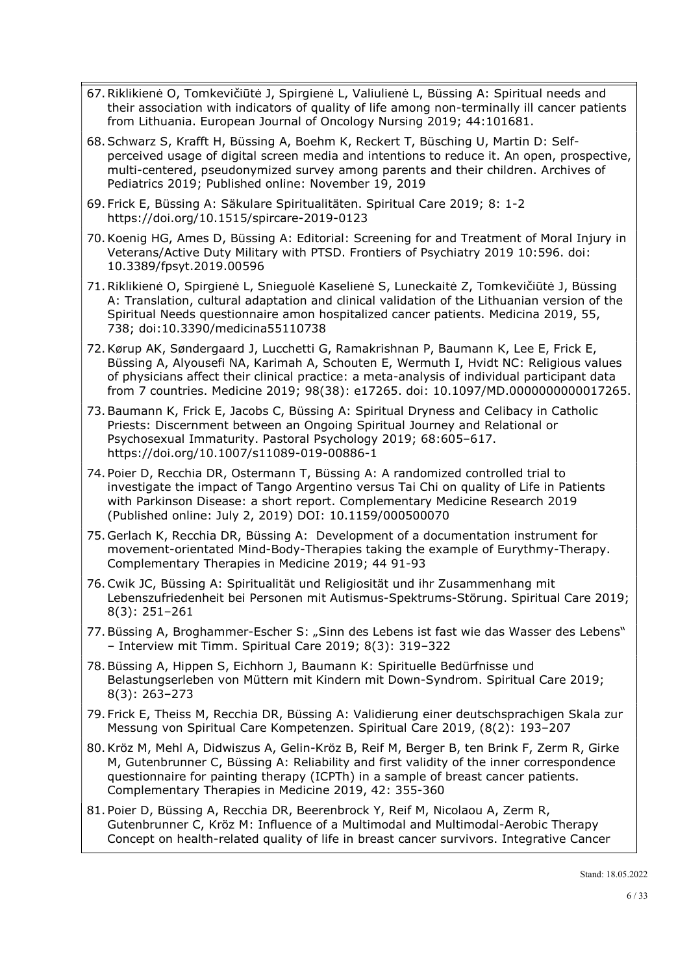- 67.Riklikienė O, Tomkevičiūtė J, Spirgienė L, Valiulienė L, Büssing A: Spiritual needs and their association with indicators of quality of life among non-terminally ill cancer patients from Lithuania. European Journal of Oncology Nursing 2019; 44:101681.
- 68.Schwarz S, Krafft H, Büssing A, Boehm K, Reckert T, Büsching U, Martin D: Selfperceived usage of digital screen media and intentions to reduce it. An open, prospective, multi-centered, pseudonymized survey among parents and their children. Archives of Pediatrics 2019; Published online: November 19, 2019
- 69. Frick E, Büssing A: Säkulare Spiritualitäten. Spiritual Care 2019; 8: 1-2 https://doi.org/10.1515/spircare-2019-0123
- 70.Koenig HG, Ames D, Büssing A: Editorial: Screening for and Treatment of Moral Injury in Veterans/Active Duty Military with PTSD. Frontiers of Psychiatry 2019 10:596. doi: 10.3389/fpsyt.2019.00596
- 71.Riklikienė O, Spirgienė L, Snieguolė Kaselienė S, Luneckaitė Z, Tomkevičiūtė J, Büssing A: Translation, cultural adaptation and clinical validation of the Lithuanian version of the Spiritual Needs questionnaire amon hospitalized cancer patients. Medicina 2019, 55, 738; doi:10.3390/medicina55110738
- 72.Kørup AK, Søndergaard J, Lucchetti G, Ramakrishnan P, Baumann K, Lee E, Frick E, Büssing A, Alyousefi NA, Karimah A, Schouten E, Wermuth I, Hvidt NC: Religious values of physicians affect their clinical practice: a meta-analysis of individual participant data from 7 countries. Medicine 2019; 98(38): e17265. doi: 10.1097/MD.0000000000017265.
- 73.Baumann K, Frick E, Jacobs C, Büssing A: Spiritual Dryness and Celibacy in Catholic Priests: Discernment between an Ongoing Spiritual Journey and Relational or Psychosexual Immaturity. Pastoral Psychology 2019; 68:605–617. https://doi.org/10.1007/s11089-019-00886-1
- 74. Poier D, Recchia DR, Ostermann T, Büssing A: A randomized controlled trial to investigate the impact of Tango Argentino versus Tai Chi on quality of Life in Patients with Parkinson Disease: a short report. Complementary Medicine Research 2019 (Published online: July 2, 2019) DOI: 10.1159/000500070
- 75. Gerlach K, Recchia DR, Büssing A: Development of a documentation instrument for movement-orientated Mind-Body-Therapies taking the example of Eurythmy-Therapy. Complementary Therapies in Medicine 2019; 44 91-93
- 76.Cwik JC, Büssing A: Spiritualität und Religiosität und ihr Zusammenhang mit Lebenszufriedenheit bei Personen mit Autismus-Spektrums-Störung. Spiritual Care 2019; 8(3): 251–261
- 77. Büssing A, Broghammer-Escher S: "Sinn des Lebens ist fast wie das Wasser des Lebens" – Interview mit Timm. Spiritual Care 2019; 8(3): 319–322
- 78.Büssing A, Hippen S, Eichhorn J, Baumann K: Spirituelle Bedürfnisse und Belastungserleben von Müttern mit Kindern mit Down-Syndrom. Spiritual Care 2019; 8(3): 263–273
- 79. Frick E, Theiss M, Recchia DR, Büssing A: Validierung einer deutschsprachigen Skala zur Messung von Spiritual Care Kompetenzen. Spiritual Care 2019, (8(2): 193–207
- 80.Kröz M, Mehl A, Didwiszus A, Gelin-Kröz B, Reif M, Berger B, ten Brink F, Zerm R, Girke M, Gutenbrunner C, Büssing A: Reliability and first validity of the inner correspondence questionnaire for painting therapy (ICPTh) in a sample of breast cancer patients. Complementary Therapies in Medicine 2019, 42: 355-360
- 81. Poier D, Büssing A, Recchia DR, Beerenbrock Y, Reif M, Nicolaou A, Zerm R, Gutenbrunner C, Kröz M: Influence of a Multimodal and Multimodal-Aerobic Therapy Concept on health-related quality of life in breast cancer survivors. Integrative Cancer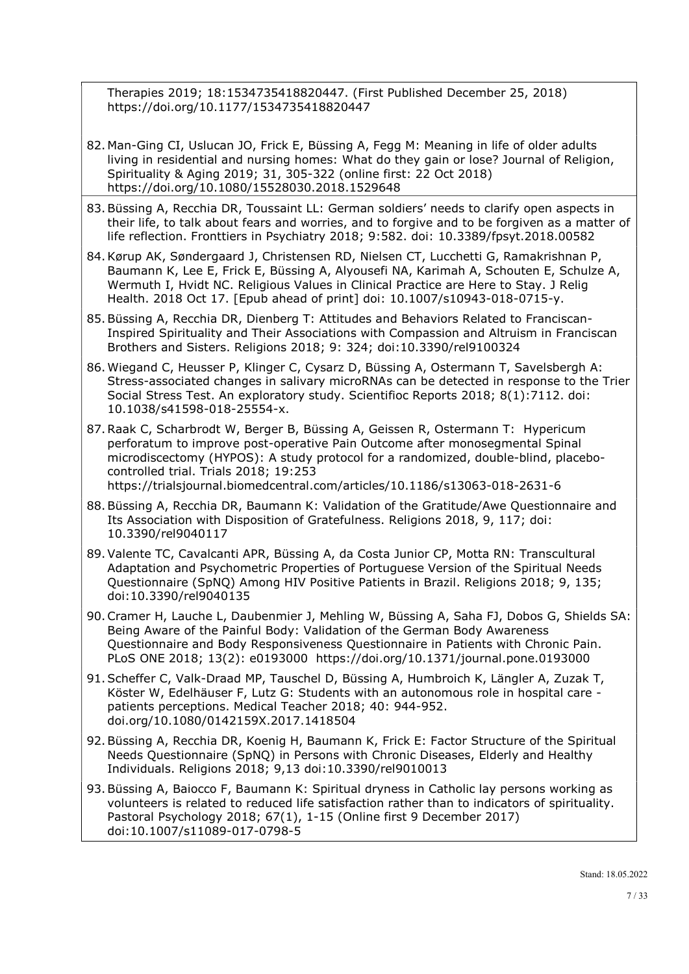Therapies 2019; 18:1534735418820447. (First Published December 25, 2018) https://doi.org/10.1177/1534735418820447

- 82. Man-Ging CI, Uslucan JO, Frick E, Büssing A, Fegg M: Meaning in life of older adults living in residential and nursing homes: What do they gain or lose? Journal of Religion, Spirituality & Aging 2019; 31, 305-322 (online first: 22 Oct 2018) https://doi.org/10.1080/15528030.2018.1529648
- 83.Büssing A, Recchia DR, Toussaint LL: German soldiers' needs to clarify open aspects in their life, to talk about fears and worries, and to forgive and to be forgiven as a matter of life reflection. Fronttiers in Psychiatry 2018; 9:582. doi: 10.3389/fpsyt.2018.00582
- 84.Kørup AK, Søndergaard J, Christensen RD, Nielsen CT, Lucchetti G, Ramakrishnan P, Baumann K, Lee E, Frick E, Büssing A, Alyousefi NA, Karimah A, Schouten E, Schulze A, Wermuth I, Hvidt NC. Religious Values in Clinical Practice are Here to Stay. J Relig Health. 2018 Oct 17. [Epub ahead of print] doi: 10.1007/s10943-018-0715-y.
- 85.Büssing A, Recchia DR, Dienberg T: Attitudes and Behaviors Related to Franciscan-Inspired Spirituality and Their Associations with Compassion and Altruism in Franciscan Brothers and Sisters. Religions 2018; 9: 324; doi:10.3390/rel9100324
- 86.Wiegand C, Heusser P, Klinger C, Cysarz D, Büssing A, Ostermann T, Savelsbergh A: Stress-associated changes in salivary microRNAs can be detected in response to the Trier Social Stress Test. An exploratory study. Scientifioc Reports 2018; 8(1):7112. doi: 10.1038/s41598-018-25554-x.
- 87.Raak C, Scharbrodt W, Berger B, Büssing A, Geissen R, Ostermann T: Hypericum perforatum to improve post-operative Pain Outcome after monosegmental Spinal microdiscectomy (HYPOS): A study protocol for a randomized, double-blind, placebocontrolled trial. Trials 2018; 19:253

https://trialsjournal.biomedcentral.com/articles/10.1186/s13063-018-2631-6

- 88.Büssing A, Recchia DR, Baumann K: Validation of the Gratitude/Awe Questionnaire and Its Association with Disposition of Gratefulness. Religions 2018, 9, 117; doi: 10.3390/rel9040117
- 89.Valente TC, Cavalcanti APR, Büssing A, da Costa Junior CP, Motta RN: Transcultural Adaptation and Psychometric Properties of Portuguese Version of the Spiritual Needs Questionnaire (SpNQ) Among HIV Positive Patients in Brazil. Religions 2018; 9, 135; doi:10.3390/rel9040135
- 90.Cramer H, Lauche L, Daubenmier J, Mehling W, Büssing A, Saha FJ, Dobos G, Shields SA: Being Aware of the Painful Body: Validation of the German Body Awareness Questionnaire and Body Responsiveness Questionnaire in Patients with Chronic Pain. PLoS ONE 2018; 13(2): e0193000 https://doi.org/10.1371/journal.pone.0193000
- 91.Scheffer C, Valk-Draad MP, Tauschel D, Büssing A, Humbroich K, Längler A, Zuzak T, Köster W, Edelhäuser F, Lutz G: Students with an autonomous role in hospital care patients perceptions. Medical Teacher 2018; 40: 944-952. doi.org/10.1080/0142159X.2017.1418504
- 92.Büssing A, Recchia DR, Koenig H, Baumann K, Frick E: Factor Structure of the Spiritual Needs Questionnaire (SpNQ) in Persons with Chronic Diseases, Elderly and Healthy Individuals. Religions 2018; 9,13 doi:10.3390/rel9010013
- 93.Büssing A, Baiocco F, Baumann K: Spiritual dryness in Catholic lay persons working as volunteers is related to reduced life satisfaction rather than to indicators of spirituality. Pastoral Psychology 2018; 67(1), 1-15 (Online first 9 December 2017) doi:10.1007/s11089-017-0798-5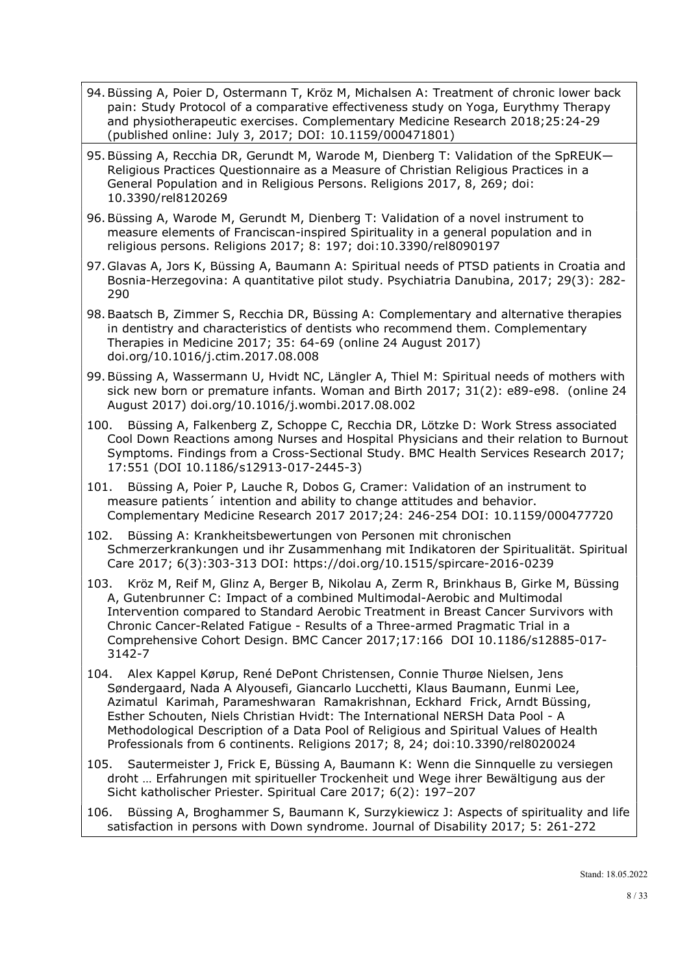- 94.Büssing A, Poier D, Ostermann T, Kröz M, Michalsen A: Treatment of chronic lower back pain: Study Protocol of a comparative effectiveness study on Yoga, Eurythmy Therapy and physiotherapeutic exercises. Complementary Medicine Research 2018;25:24-29 (published online: July 3, 2017; DOI: 10.1159/000471801)
- 95.Büssing A, Recchia DR, Gerundt M, Warode M, Dienberg T: Validation of the SpREUK— Religious Practices Questionnaire as a Measure of Christian Religious Practices in a General Population and in Religious Persons. Religions 2017, 8, 269; doi: 10.3390/rel8120269
- 96.Büssing A, Warode M, Gerundt M, Dienberg T: Validation of a novel instrument to measure elements of Franciscan-inspired Spirituality in a general population and in religious persons. Religions 2017; 8: 197; doi:10.3390/rel8090197
- 97. Glavas A, Jors K, Büssing A, Baumann A: Spiritual needs of PTSD patients in Croatia and Bosnia-Herzegovina: A quantitative pilot study. Psychiatria Danubina, 2017; 29(3): 282- 290
- 98.Baatsch B, Zimmer S, Recchia DR, Büssing A: Complementary and alternative therapies in dentistry and characteristics of dentists who recommend them. Complementary Therapies in Medicine 2017; 35: 64-69 (online 24 August 2017) doi.org/10.1016/j.ctim.2017.08.008
- 99.Büssing A, Wassermann U, Hvidt NC, Längler A, Thiel M: Spiritual needs of mothers with sick new born or premature infants. Woman and Birth 2017; 31(2): e89-e98. (online 24 August 2017) doi.org/10.1016/j.wombi.2017.08.002
- 100. Büssing A, Falkenberg Z, Schoppe C, Recchia DR, Lötzke D: Work Stress associated Cool Down Reactions among Nurses and Hospital Physicians and their relation to Burnout Symptoms. Findings from a Cross-Sectional Study. BMC Health Services Research 2017; 17:551 (DOI 10.1186/s12913-017-2445-3)
- 101. Büssing A, Poier P, Lauche R, Dobos G, Cramer: Validation of an instrument to measure patients´ intention and ability to change attitudes and behavior. Complementary Medicine Research 2017 2017;24: 246-254 DOI: 10.1159/000477720
- 102. Büssing A: Krankheitsbewertungen von Personen mit chronischen Schmerzerkrankungen und ihr Zusammenhang mit Indikatoren der Spiritualität. Spiritual Care 2017; 6(3):303-313 DOI: https://doi.org/10.1515/spircare-2016-0239
- 103. Kröz M, Reif M, Glinz A, Berger B, Nikolau A, Zerm R, Brinkhaus B, Girke M, Büssing A, Gutenbrunner C: Impact of a combined Multimodal-Aerobic and Multimodal Intervention compared to Standard Aerobic Treatment in Breast Cancer Survivors with Chronic Cancer-Related Fatigue - Results of a Three-armed Pragmatic Trial in a Comprehensive Cohort Design. BMC Cancer 2017;17:166 DOI 10.1186/s12885-017- 3142-7
- 104. Alex Kappel Kørup, René DePont Christensen, Connie Thurøe Nielsen, Jens Søndergaard, Nada A Alyousefi, Giancarlo Lucchetti, Klaus Baumann, Eunmi Lee, Azimatul Karimah, Parameshwaran Ramakrishnan, Eckhard Frick, Arndt Büssing, Esther Schouten, Niels Christian Hvidt: The International NERSH Data Pool - A Methodological Description of a Data Pool of Religious and Spiritual Values of Health Professionals from 6 continents. Religions 2017; 8, 24; doi:10.3390/rel8020024
- 105. Sautermeister J, Frick E, Büssing A, Baumann K: Wenn die Sinnquelle zu versiegen droht … Erfahrungen mit spiritueller Trockenheit und Wege ihrer Bewältigung aus der Sicht katholischer Priester. Spiritual Care 2017; 6(2): 197–207
- 106. Büssing A, Broghammer S, Baumann K, Surzykiewicz J: Aspects of spirituality and life satisfaction in persons with Down syndrome. Journal of Disability 2017; 5: 261-272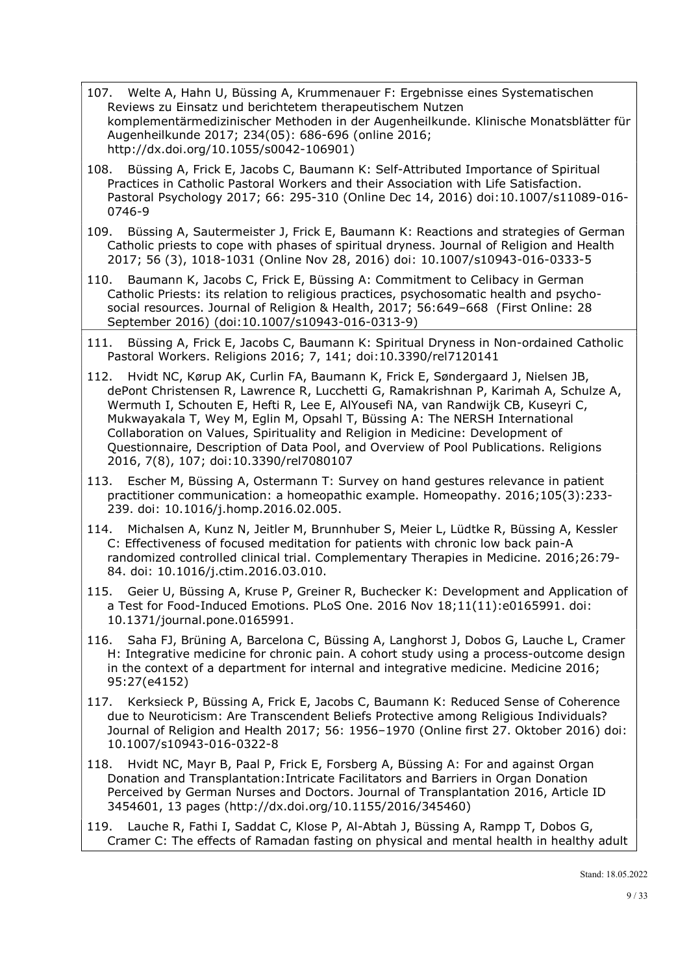- 107. Welte A, Hahn U, Büssing A, Krummenauer F: Ergebnisse eines Systematischen Reviews zu Einsatz und berichtetem therapeutischem Nutzen komplementärmedizinischer Methoden in der Augenheilkunde. Klinische Monatsblätter für Augenheilkunde 2017; 234(05): 686-696 (online 2016; http://dx.doi.org/10.1055/s0042-106901)
- 108. Büssing A, Frick E, Jacobs C, Baumann K: Self-Attributed Importance of Spiritual Practices in Catholic Pastoral Workers and their Association with Life Satisfaction. Pastoral Psychology 2017; 66: 295-310 (Online Dec 14, 2016) doi:10.1007/s11089-016- 0746-9
- 109. Büssing A, Sautermeister J, Frick E, Baumann K: Reactions and strategies of German Catholic priests to cope with phases of spiritual dryness. Journal of Religion and Health 2017; 56 (3), 1018-1031 (Online Nov 28, 2016) doi: 10.1007/s10943-016-0333-5
- 110. Baumann K, Jacobs C, Frick E, Büssing A: Commitment to Celibacy in German Catholic Priests: its relation to religious practices, psychosomatic health and psychosocial resources. Journal of Religion & Health, 2017; 56:649–668 (First Online: 28 September 2016) (doi:10.1007/s10943-016-0313-9)
- 111. Büssing A, Frick E, Jacobs C, Baumann K: Spiritual Dryness in Non-ordained Catholic Pastoral Workers. Religions 2016; 7, 141; doi:10.3390/rel7120141
- 112. Hvidt NC, Kørup AK, Curlin FA, Baumann K, Frick E, Søndergaard J, Nielsen JB, dePont Christensen R, Lawrence R, Lucchetti G, Ramakrishnan P, Karimah A, Schulze A, Wermuth I, Schouten E, Hefti R, Lee E, AlYousefi NA, van Randwijk CB, Kuseyri C, Mukwayakala T, Wey M, Eglin M, Opsahl T, Büssing A: The NERSH International Collaboration on Values, Spirituality and Religion in Medicine: Development of Questionnaire, Description of Data Pool, and Overview of Pool Publications. Religions 2016, 7(8), 107; doi:10.3390/rel7080107
- 113. Escher M, Büssing A, Ostermann T: Survey on hand gestures relevance in patient practitioner communication: a homeopathic example. Homeopathy. 2016;105(3):233- 239. doi: 10.1016/j.homp.2016.02.005.
- 114. Michalsen A, Kunz N, Jeitler M, Brunnhuber S, Meier L, Lüdtke R, Büssing A, Kessler C: Effectiveness of focused meditation for patients with chronic low back pain-A randomized controlled clinical trial. Complementary Therapies in Medicine. 2016;26:79- 84. doi: 10.1016/j.ctim.2016.03.010.
- 115. Geier U, Büssing A, Kruse P, Greiner R, Buchecker K: Development and Application of a Test for Food-Induced Emotions. PLoS One. 2016 Nov 18;11(11):e0165991. doi: 10.1371/journal.pone.0165991.
- 116. Saha FJ, Brüning A, Barcelona C, Büssing A, Langhorst J, Dobos G, Lauche L, Cramer H: Integrative medicine for chronic pain. A cohort study using a process-outcome design in the context of a department for internal and integrative medicine. Medicine 2016; 95:27(e4152)
- 117. Kerksieck P, Büssing A, Frick E, Jacobs C, Baumann K: Reduced Sense of Coherence due to Neuroticism: Are Transcendent Beliefs Protective among Religious Individuals? Journal of Religion and Health 2017; 56: 1956–1970 (Online first 27. Oktober 2016) doi: 10.1007/s10943-016-0322-8
- 118. Hvidt NC, Mayr B, Paal P, Frick E, Forsberg A, Büssing A: For and against Organ Donation and Transplantation:Intricate Facilitators and Barriers in Organ Donation Perceived by German Nurses and Doctors. Journal of Transplantation 2016, Article ID 3454601, 13 pages (http://dx.doi.org/10.1155/2016/345460)
- 119. Lauche R, Fathi I, Saddat C, Klose P, Al-Abtah J, Büssing A, Rampp T, Dobos G, Cramer C: The effects of Ramadan fasting on physical and mental health in healthy adult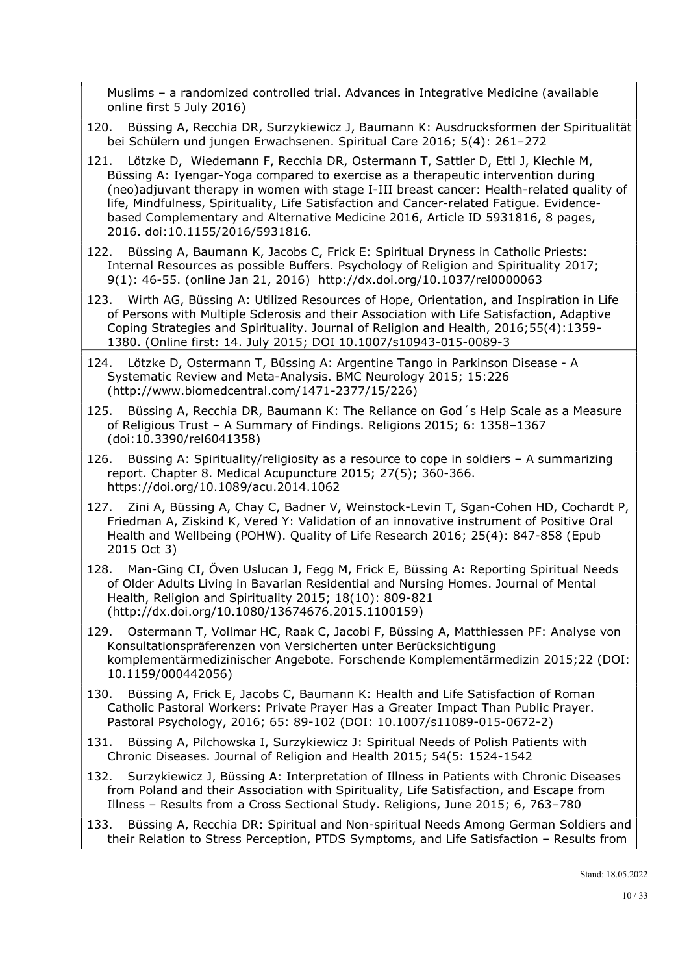Muslims – a randomized controlled trial. Advances in Integrative Medicine (available online first 5 July 2016)

- 120. Büssing A, Recchia DR, Surzykiewicz J, Baumann K: Ausdrucksformen der Spiritualität bei Schülern und jungen Erwachsenen. Spiritual Care 2016; 5(4): 261–272
- 121. Lötzke D, Wiedemann F, Recchia DR, Ostermann T, Sattler D, Ettl J, Kiechle M, Büssing A: Iyengar-Yoga compared to exercise as a therapeutic intervention during (neo)adjuvant therapy in women with stage I-III breast cancer: Health-related quality of life, Mindfulness, Spirituality, Life Satisfaction and Cancer-related Fatigue. Evidencebased Complementary and Alternative Medicine 2016, Article ID 5931816, 8 pages, 2016. doi:10.1155/2016/5931816.
- 122. Büssing A, Baumann K, Jacobs C, Frick E: Spiritual Dryness in Catholic Priests: Internal Resources as possible Buffers. Psychology of Religion and Spirituality 2017; 9(1): 46-55. (online Jan 21, 2016) http://dx.doi.org/10.1037/rel0000063
- 123. Wirth AG, Büssing A: Utilized Resources of Hope, Orientation, and Inspiration in Life of Persons with Multiple Sclerosis and their Association with Life Satisfaction, Adaptive Coping Strategies and Spirituality. Journal of Religion and Health, 2016;55(4):1359- 1380. (Online first: 14. July 2015; DOI 10.1007/s10943-015-0089-3
- 124. Lötzke D, Ostermann T, Büssing A: Argentine Tango in Parkinson Disease A Systematic Review and Meta-Analysis. BMC Neurology 2015; 15:226 (http://www.biomedcentral.com/1471-2377/15/226)
- 125. Büssing A, Recchia DR, Baumann K: The Reliance on God´s Help Scale as a Measure of Religious Trust – A Summary of Findings. Religions 2015; 6: 1358–1367 (doi:10.3390/rel6041358)
- 126. Büssing A: Spirituality/religiosity as a resource to cope in soldiers A summarizing report. Chapter 8. Medical Acupuncture 2015; 27(5); 360-366. https://doi.org/10.1089/acu.2014.1062
- 127. Zini A, Büssing A, Chay C, Badner V, Weinstock-Levin T, Sgan-Cohen HD, Cochardt P, Friedman A, Ziskind K, Vered Y: Validation of an innovative instrument of Positive Oral Health and Wellbeing (POHW). Quality of Life Research 2016; 25(4): 847-858 (Epub 2015 Oct 3)
- 128. Man-Ging CI, Öven Uslucan J, Fegg M, Frick E, Büssing A: Reporting Spiritual Needs of Older Adults Living in Bavarian Residential and Nursing Homes. Journal of Mental Health, Religion and Spirituality 2015; 18(10): 809-821 (http://dx.doi.org/10.1080/13674676.2015.1100159)
- 129. Ostermann T, Vollmar HC, Raak C, Jacobi F, Büssing A, Matthiessen PF: Analyse von Konsultationspräferenzen von Versicherten unter Berücksichtigung komplementärmedizinischer Angebote. Forschende Komplementärmedizin 2015;22 (DOI: 10.1159/000442056)
- 130. Büssing A, Frick E, Jacobs C, Baumann K: Health and Life Satisfaction of Roman Catholic Pastoral Workers: Private Prayer Has a Greater Impact Than Public Prayer. Pastoral Psychology, 2016; 65: 89-102 (DOI: 10.1007/s11089-015-0672-2)
- 131. Büssing A, Pilchowska I, Surzykiewicz J: Spiritual Needs of Polish Patients with Chronic Diseases. Journal of Religion and Health 2015; 54(5: 1524-1542
- 132. Surzykiewicz J, Büssing A: Interpretation of Illness in Patients with Chronic Diseases from Poland and their Association with Spirituality, Life Satisfaction, and Escape from Illness – Results from a Cross Sectional Study. Religions, June 2015; 6, 763–780
- 133. Büssing A, Recchia DR: Spiritual and Non-spiritual Needs Among German Soldiers and their Relation to Stress Perception, PTDS Symptoms, and Life Satisfaction – Results from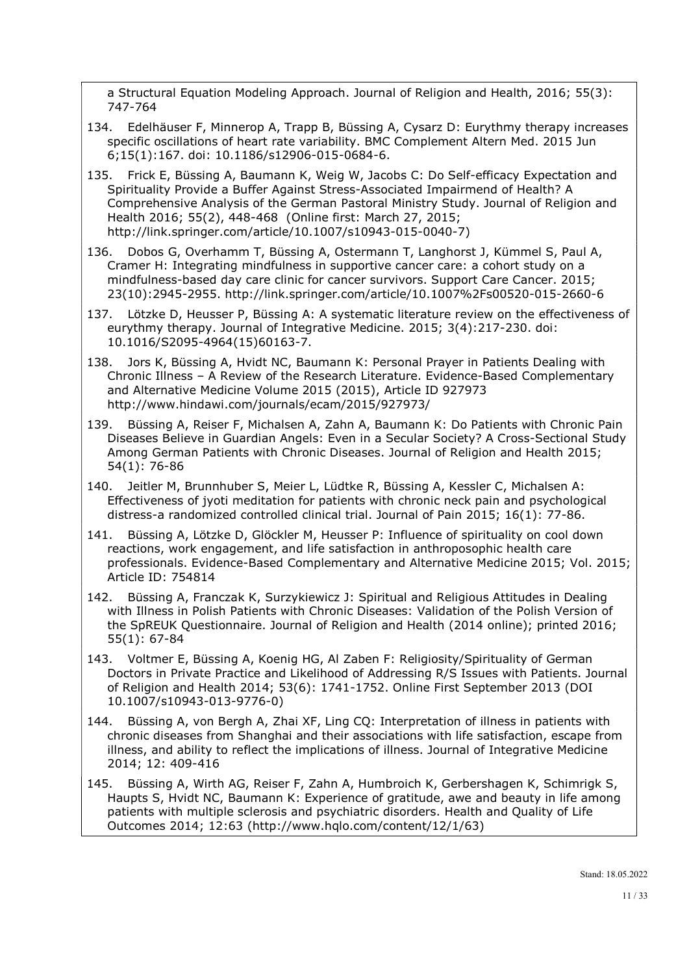a Structural Equation Modeling Approach. Journal of Religion and Health, 2016; 55(3): 747-764

- 134. Edelhäuser F, Minnerop A, Trapp B, Büssing A, Cysarz D: Eurythmy therapy increases specific oscillations of heart rate variability. BMC Complement Altern Med. 2015 Jun 6;15(1):167. doi: 10.1186/s12906-015-0684-6.
- 135. Frick E, Büssing A, Baumann K, Weig W, Jacobs C: Do Self-efficacy Expectation and Spirituality Provide a Buffer Against Stress-Associated Impairmend of Health? A Comprehensive Analysis of the German Pastoral Ministry Study. Journal of Religion and Health 2016; 55(2), 448-468 (Online first: March 27, 2015; http://link.springer.com/article/10.1007/s10943-015-0040-7)
- 136. Dobos G, Overhamm T, Büssing A, Ostermann T, Langhorst J, Kümmel S, Paul A, Cramer H: Integrating mindfulness in supportive cancer care: a cohort study on a mindfulness-based day care clinic for cancer survivors. Support Care Cancer. 2015; 23(10):2945-2955. http://link.springer.com/article/10.1007%2Fs00520-015-2660-6
- 137. Lötzke D, Heusser P, Büssing A: A systematic literature review on the effectiveness of eurythmy therapy. Journal of Integrative Medicine. 2015; 3(4):217-230. doi: 10.1016/S2095-4964(15)60163-7.
- 138. Jors K, Büssing A, Hvidt NC, Baumann K: Personal Prayer in Patients Dealing with Chronic Illness – A Review of the Research Literature. Evidence-Based Complementary and Alternative Medicine Volume 2015 (2015), Article ID 927973 http://www.hindawi.com/journals/ecam/2015/927973/
- 139. Büssing A, Reiser F, Michalsen A, Zahn A, Baumann K: Do Patients with Chronic Pain Diseases Believe in Guardian Angels: Even in a Secular Society? A Cross-Sectional Study Among German Patients with Chronic Diseases. Journal of Religion and Health 2015; 54(1): 76-86
- 140. Jeitler M, Brunnhuber S, Meier L, Lüdtke R, Büssing A, Kessler C, Michalsen A: Effectiveness of jyoti meditation for patients with chronic neck pain and psychological distress-a randomized controlled clinical trial. Journal of Pain 2015; 16(1): 77-86.
- 141. Büssing A, Lötzke D, Glöckler M, Heusser P: Influence of spirituality on cool down reactions, work engagement, and life satisfaction in anthroposophic health care professionals. Evidence-Based Complementary and Alternative Medicine 2015; Vol. 2015; Article ID: 754814
- 142. Büssing A, Franczak K, Surzykiewicz J: Spiritual and Religious Attitudes in Dealing with Illness in Polish Patients with Chronic Diseases: Validation of the Polish Version of the SpREUK Questionnaire. Journal of Religion and Health (2014 online); printed 2016; 55(1): 67-84
- 143. Voltmer E, Büssing A, Koenig HG, Al Zaben F: Religiosity/Spirituality of German Doctors in Private Practice and Likelihood of Addressing R/S Issues with Patients. Journal of Religion and Health 2014; 53(6): 1741-1752. Online First September 2013 (DOI 10.1007/s10943-013-9776-0)
- 144. Büssing A, von Bergh A, Zhai XF, Ling CQ: Interpretation of illness in patients with chronic diseases from Shanghai and their associations with life satisfaction, escape from illness, and ability to reflect the implications of illness. Journal of Integrative Medicine 2014; 12: 409-416
- 145. Büssing A, Wirth AG, Reiser F, Zahn A, Humbroich K, Gerbershagen K, Schimrigk S, Haupts S, Hvidt NC, Baumann K: Experience of gratitude, awe and beauty in life among patients with multiple sclerosis and psychiatric disorders. Health and Quality of Life Outcomes 2014; 12:63 (http://www.hqlo.com/content/12/1/63)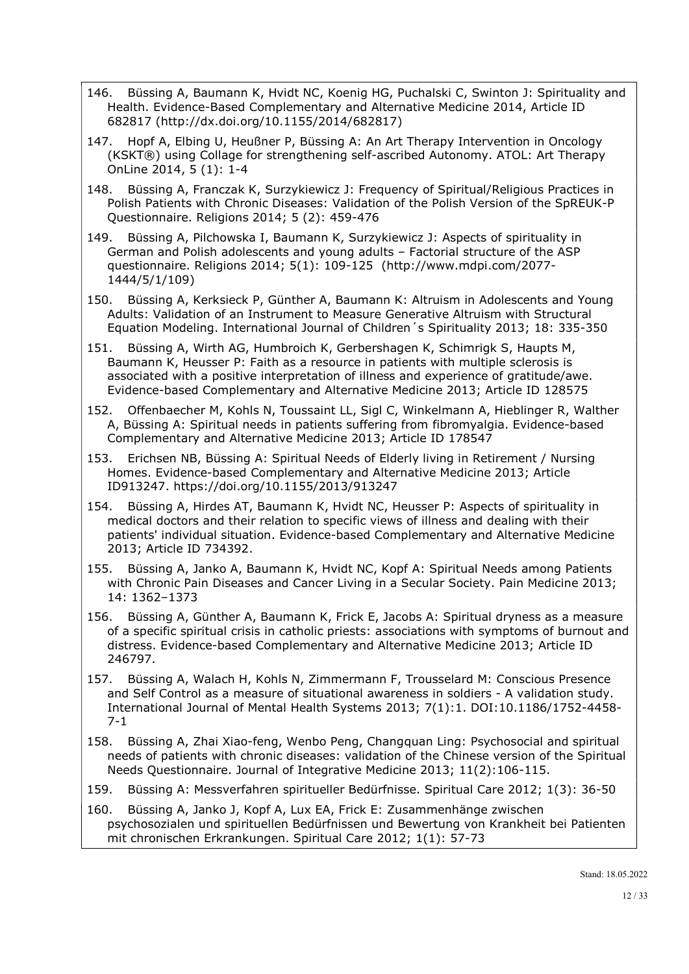- 146. Büssing A, Baumann K, Hvidt NC, Koenig HG, Puchalski C, Swinton J: Spirituality and Health. Evidence-Based Complementary and Alternative Medicine 2014, Article ID 682817 (http://dx.doi.org/10.1155/2014/682817)
- 147. Hopf A, Elbing U, Heußner P, Büssing A: An Art Therapy Intervention in Oncology (KSKT®) using Collage for strengthening self-ascribed Autonomy. ATOL: Art Therapy OnLine 2014, 5 (1): 1-4
- 148. Büssing A, Franczak K, Surzykiewicz J: Frequency of Spiritual/Religious Practices in Polish Patients with Chronic Diseases: Validation of the Polish Version of the SpREUK-P Questionnaire. Religions 2014; 5 (2): 459-476
- 149. Büssing A, Pilchowska I, Baumann K, Surzykiewicz J: Aspects of spirituality in German and Polish adolescents and young adults – Factorial structure of the ASP questionnaire. Religions 2014; 5(1): 109-125 (http://www.mdpi.com/2077- 1444/5/1/109)
- 150. Büssing A, Kerksieck P, Günther A, Baumann K: Altruism in Adolescents and Young Adults: Validation of an Instrument to Measure Generative Altruism with Structural Equation Modeling. International Journal of Children´s Spirituality 2013; 18: 335-350
- 151. Büssing A, Wirth AG, Humbroich K, Gerbershagen K, Schimrigk S, Haupts M, Baumann K, Heusser P: Faith as a resource in patients with multiple sclerosis is associated with a positive interpretation of illness and experience of gratitude/awe. Evidence-based Complementary and Alternative Medicine 2013; Article ID 128575
- 152. Offenbaecher M, Kohls N, Toussaint LL, Sigl C, Winkelmann A, Hieblinger R, Walther A, Büssing A: Spiritual needs in patients suffering from fibromyalgia. Evidence-based Complementary and Alternative Medicine 2013; Article ID 178547
- 153. Erichsen NB, Büssing A: Spiritual Needs of Elderly living in Retirement / Nursing Homes. Evidence-based Complementary and Alternative Medicine 2013; Article ID913247. https://doi.org/10.1155/2013/913247
- 154. Büssing A, Hirdes AT, Baumann K, Hvidt NC, Heusser P: Aspects of spirituality in medical doctors and their relation to specific views of illness and dealing with their patients' individual situation. Evidence-based Complementary and Alternative Medicine 2013; Article ID 734392.
- 155. Büssing A, Janko A, Baumann K, Hvidt NC, Kopf A: Spiritual Needs among Patients with Chronic Pain Diseases and Cancer Living in a Secular Society. Pain Medicine 2013; 14: 1362–1373
- 156. Büssing A, Günther A, Baumann K, Frick E, Jacobs A: Spiritual dryness as a measure of a specific spiritual crisis in catholic priests: associations with symptoms of burnout and distress. Evidence-based Complementary and Alternative Medicine 2013; Article ID 246797.
- 157. Büssing A, Walach H, Kohls N, Zimmermann F, Trousselard M: Conscious Presence and Self Control as a measure of situational awareness in soldiers - A validation study. International Journal of Mental Health Systems 2013; 7(1):1. DOI:10.1186/1752-4458- 7-1
- 158. Büssing A, Zhai Xiao-feng, Wenbo Peng, Changquan Ling: Psychosocial and spiritual needs of patients with chronic diseases: validation of the Chinese version of the Spiritual Needs Questionnaire. Journal of Integrative Medicine 2013; 11(2):106-115.
- 159. Büssing A: Messverfahren spiritueller Bedürfnisse. Spiritual Care 2012; 1(3): 36-50
- 160. Büssing A, Janko J, Kopf A, Lux EA, Frick E: Zusammenhänge zwischen psychosozialen und spirituellen Bedürfnissen und Bewertung von Krankheit bei Patienten mit chronischen Erkrankungen. Spiritual Care 2012; 1(1): 57-73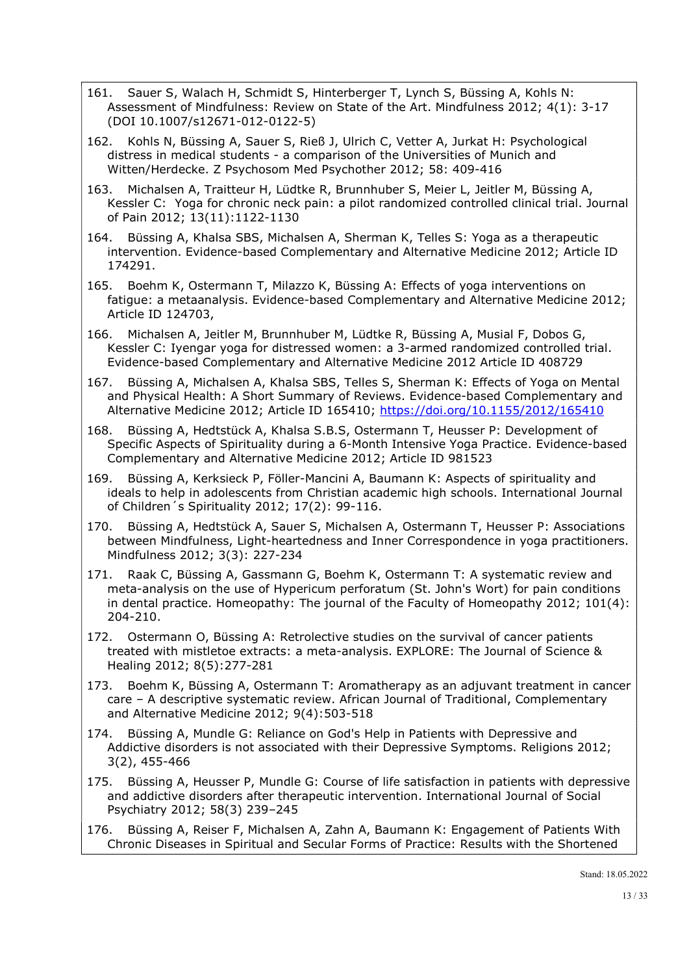- 161. Sauer S, Walach H, Schmidt S, Hinterberger T, Lynch S, Büssing A, Kohls N: Assessment of Mindfulness: Review on State of the Art. Mindfulness 2012; 4(1): 3-17 (DOI 10.1007/s12671-012-0122-5)
- 162. Kohls N, Büssing A, Sauer S, Rieß J, Ulrich C, Vetter A, Jurkat H: Psychological distress in medical students - a comparison of the Universities of Munich and Witten/Herdecke. Z Psychosom Med Psychother 2012; 58: 409-416
- 163. Michalsen A, Traitteur H, Lüdtke R, Brunnhuber S, Meier L, Jeitler M, Büssing A, Kessler C: Yoga for chronic neck pain: a pilot randomized controlled clinical trial. Journal of Pain 2012; 13(11):1122-1130
- 164. Büssing A, Khalsa SBS, Michalsen A, Sherman K, Telles S: Yoga as a therapeutic intervention. Evidence-based Complementary and Alternative Medicine 2012; Article ID 174291.
- 165. Boehm K, Ostermann T, Milazzo K, Büssing A: Effects of yoga interventions on fatigue: a metaanalysis. Evidence-based Complementary and Alternative Medicine 2012; Article ID 124703,
- 166. Michalsen A, Jeitler M, Brunnhuber M, Lüdtke R, Büssing A, Musial F, Dobos G, Kessler C: Iyengar yoga for distressed women: a 3-armed randomized controlled trial. Evidence-based Complementary and Alternative Medicine 2012 Article ID 408729
- 167. Büssing A, Michalsen A, Khalsa SBS, Telles S, Sherman K: Effects of Yoga on Mental and Physical Health: A Short Summary of Reviews. Evidence-based Complementary and Alternative Medicine 2012; Article ID 165410; https://doi.org/10.1155/2012/165410
- 168. Büssing A, Hedtstück A, Khalsa S.B.S, Ostermann T, Heusser P: Development of Specific Aspects of Spirituality during a 6-Month Intensive Yoga Practice. Evidence-based Complementary and Alternative Medicine 2012; Article ID 981523
- 169. Büssing A, Kerksieck P, Föller-Mancini A, Baumann K: Aspects of spirituality and ideals to help in adolescents from Christian academic high schools. International Journal of Children´s Spirituality 2012; 17(2): 99-116.
- 170. Büssing A, Hedtstück A, Sauer S, Michalsen A, Ostermann T, Heusser P: Associations between Mindfulness, Light-heartedness and Inner Correspondence in yoga practitioners. Mindfulness 2012; 3(3): 227-234
- 171. Raak C, Büssing A, Gassmann G, Boehm K, Ostermann T: A systematic review and meta-analysis on the use of Hypericum perforatum (St. John's Wort) for pain conditions in dental practice. Homeopathy: The journal of the Faculty of Homeopathy 2012; 101(4): 204-210.
- 172. Ostermann O, Büssing A: Retrolective studies on the survival of cancer patients treated with mistletoe extracts: a meta-analysis. EXPLORE: The Journal of Science & Healing 2012; 8(5):277-281
- 173. Boehm K, Büssing A, Ostermann T: Aromatherapy as an adjuvant treatment in cancer care – A descriptive systematic review. African Journal of Traditional, Complementary and Alternative Medicine 2012; 9(4):503-518
- 174. Büssing A, Mundle G: Reliance on God's Help in Patients with Depressive and Addictive disorders is not associated with their Depressive Symptoms. Religions 2012; 3(2), 455-466
- 175. Büssing A, Heusser P, Mundle G: Course of life satisfaction in patients with depressive and addictive disorders after therapeutic intervention. International Journal of Social Psychiatry 2012; 58(3) 239–245
- 176. Büssing A, Reiser F, Michalsen A, Zahn A, Baumann K: Engagement of Patients With Chronic Diseases in Spiritual and Secular Forms of Practice: Results with the Shortened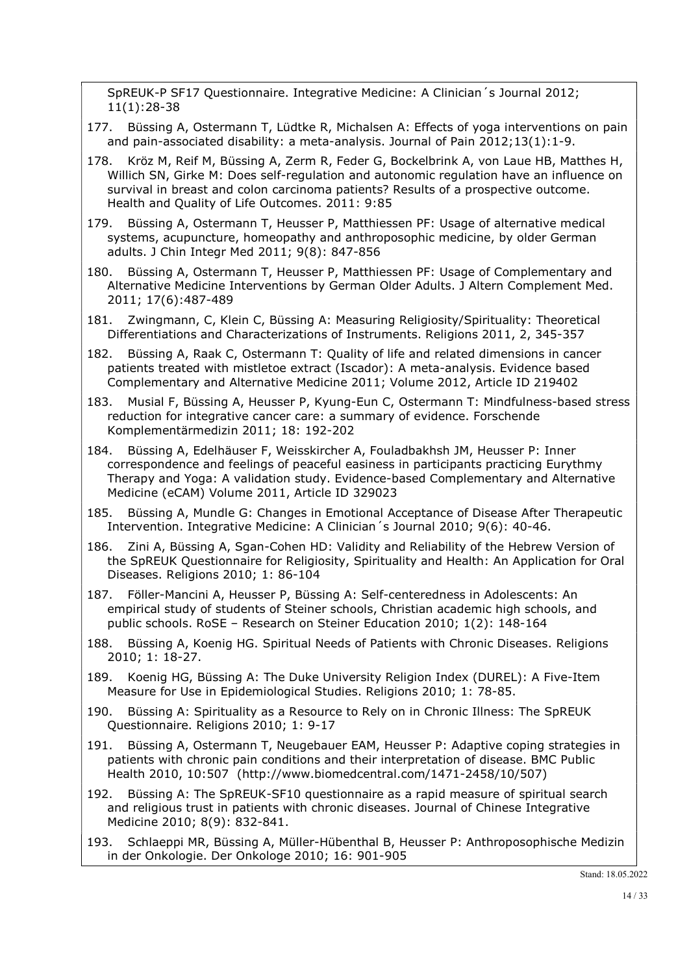SpREUK-P SF17 Questionnaire. Integrative Medicine: A Clinician´s Journal 2012; 11(1):28-38

- 177. Büssing A, Ostermann T, Lüdtke R, Michalsen A: Effects of yoga interventions on pain and pain-associated disability: a meta-analysis. Journal of Pain 2012;13(1):1-9.
- 178. Kröz M, Reif M, Büssing A, Zerm R, Feder G, Bockelbrink A, von Laue HB, Matthes H, Willich SN, Girke M: Does self-regulation and autonomic regulation have an influence on survival in breast and colon carcinoma patients? Results of a prospective outcome. Health and Quality of Life Outcomes. 2011: 9:85
- 179. Büssing A, Ostermann T, Heusser P, Matthiessen PF: Usage of alternative medical systems, acupuncture, homeopathy and anthroposophic medicine, by older German adults. J Chin Integr Med 2011; 9(8): 847-856
- 180. Büssing A, Ostermann T, Heusser P, Matthiessen PF: Usage of Complementary and Alternative Medicine Interventions by German Older Adults. J Altern Complement Med. 2011; 17(6):487-489
- 181. Zwingmann, C, Klein C, Büssing A: Measuring Religiosity/Spirituality: Theoretical Differentiations and Characterizations of Instruments. Religions 2011, 2, 345-357
- 182. Büssing A, Raak C, Ostermann T: Quality of life and related dimensions in cancer patients treated with mistletoe extract (Iscador): A meta-analysis. Evidence based Complementary and Alternative Medicine 2011; Volume 2012, Article ID 219402
- 183. Musial F, Büssing A, Heusser P, Kyung-Eun C, Ostermann T: Mindfulness-based stress reduction for integrative cancer care: a summary of evidence. Forschende Komplementärmedizin 2011; 18: 192-202
- 184. Büssing A, Edelhäuser F, Weisskircher A, Fouladbakhsh JM, Heusser P: Inner correspondence and feelings of peaceful easiness in participants practicing Eurythmy Therapy and Yoga: A validation study. Evidence-based Complementary and Alternative Medicine (eCAM) Volume 2011, Article ID 329023
- 185. Büssing A, Mundle G: Changes in Emotional Acceptance of Disease After Therapeutic Intervention. Integrative Medicine: A Clinician´s Journal 2010; 9(6): 40-46.
- 186. Zini A, Büssing A, Sgan-Cohen HD: Validity and Reliability of the Hebrew Version of the SpREUK Questionnaire for Religiosity, Spirituality and Health: An Application for Oral Diseases. Religions 2010; 1: 86-104
- 187. Föller-Mancini A, Heusser P, Büssing A: Self-centeredness in Adolescents: An empirical study of students of Steiner schools, Christian academic high schools, and public schools. RoSE – Research on Steiner Education 2010; 1(2): 148-164
- 188. Büssing A, Koenig HG. Spiritual Needs of Patients with Chronic Diseases. Religions 2010; 1: 18-27.
- 189. Koenig HG, Büssing A: The Duke University Religion Index (DUREL): A Five-Item Measure for Use in Epidemiological Studies. Religions 2010; 1: 78-85.
- 190. Büssing A: Spirituality as a Resource to Rely on in Chronic Illness: The SpREUK Questionnaire. Religions 2010; 1: 9-17
- 191. Büssing A, Ostermann T, Neugebauer EAM, Heusser P: Adaptive coping strategies in patients with chronic pain conditions and their interpretation of disease. BMC Public Health 2010, 10:507 (http://www.biomedcentral.com/1471-2458/10/507)
- 192. Büssing A: The SpREUK-SF10 questionnaire as a rapid measure of spiritual search and religious trust in patients with chronic diseases. Journal of Chinese Integrative Medicine 2010; 8(9): 832-841.

193. Schlaeppi MR, Büssing A, Müller-Hübenthal B, Heusser P: Anthroposophische Medizin in der Onkologie. Der Onkologe 2010; 16: 901-905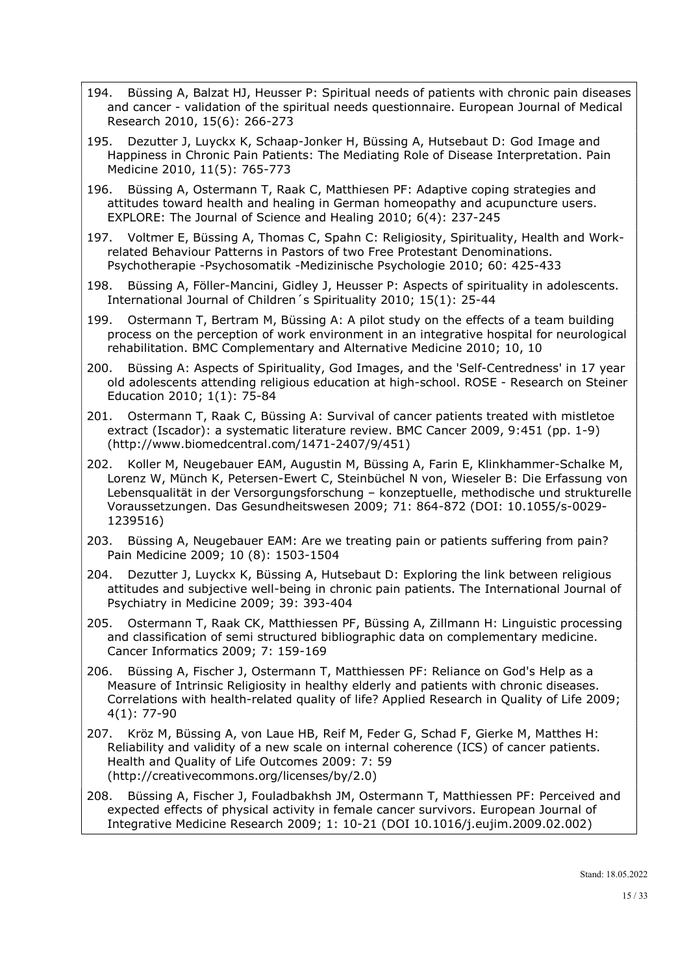- 194. Büssing A, Balzat HJ, Heusser P: Spiritual needs of patients with chronic pain diseases and cancer - validation of the spiritual needs questionnaire. European Journal of Medical Research 2010, 15(6): 266-273
- 195. Dezutter J, Luyckx K, Schaap-Jonker H, Büssing A, Hutsebaut D: God Image and Happiness in Chronic Pain Patients: The Mediating Role of Disease Interpretation. Pain Medicine 2010, 11(5): 765-773
- 196. Büssing A, Ostermann T, Raak C, Matthiesen PF: Adaptive coping strategies and attitudes toward health and healing in German homeopathy and acupuncture users. EXPLORE: The Journal of Science and Healing 2010; 6(4): 237-245
- 197. Voltmer E, Büssing A, Thomas C, Spahn C: Religiosity, Spirituality, Health and Workrelated Behaviour Patterns in Pastors of two Free Protestant Denominations. Psychotherapie -Psychosomatik -Medizinische Psychologie 2010; 60: 425-433
- 198. Büssing A, Föller-Mancini, Gidley J, Heusser P: Aspects of spirituality in adolescents. International Journal of Children´s Spirituality 2010; 15(1): 25-44
- 199. Ostermann T, Bertram M, Büssing A: A pilot study on the effects of a team building process on the perception of work environment in an integrative hospital for neurological rehabilitation. BMC Complementary and Alternative Medicine 2010; 10, 10
- 200. Büssing A: Aspects of Spirituality, God Images, and the 'Self-Centredness' in 17 year old adolescents attending religious education at high-school. ROSE - Research on Steiner Education 2010; 1(1): 75-84
- 201. Ostermann T, Raak C, Büssing A: Survival of cancer patients treated with mistletoe extract (Iscador): a systematic literature review. BMC Cancer 2009, 9:451 (pp. 1-9) (http://www.biomedcentral.com/1471-2407/9/451)
- 202. Koller M, Neugebauer EAM, Augustin M, Büssing A, Farin E, Klinkhammer-Schalke M, Lorenz W, Münch K, Petersen-Ewert C, Steinbüchel N von, Wieseler B: Die Erfassung von Lebensqualität in der Versorgungsforschung – konzeptuelle, methodische und strukturelle Voraussetzungen. Das Gesundheitswesen 2009; 71: 864-872 (DOI: 10.1055/s-0029- 1239516)
- 203. Büssing A, Neugebauer EAM: Are we treating pain or patients suffering from pain? Pain Medicine 2009; 10 (8): 1503-1504
- 204. Dezutter J, Luyckx K, Büssing A, Hutsebaut D: Exploring the link between religious attitudes and subjective well-being in chronic pain patients. The International Journal of Psychiatry in Medicine 2009; 39: 393-404
- 205. Ostermann T, Raak CK, Matthiessen PF, Büssing A, Zillmann H: Linguistic processing and classification of semi structured bibliographic data on complementary medicine. Cancer Informatics 2009; 7: 159-169
- 206. Büssing A, Fischer J, Ostermann T, Matthiessen PF: Reliance on God's Help as a Measure of Intrinsic Religiosity in healthy elderly and patients with chronic diseases. Correlations with health-related quality of life? Applied Research in Quality of Life 2009; 4(1): 77-90
- 207. Kröz M, Büssing A, von Laue HB, Reif M, Feder G, Schad F, Gierke M, Matthes H: Reliability and validity of a new scale on internal coherence (ICS) of cancer patients. Health and Quality of Life Outcomes 2009: 7: 59 (http://creativecommons.org/licenses/by/2.0)
- 208. Büssing A, Fischer J, Fouladbakhsh JM, Ostermann T, Matthiessen PF: Perceived and expected effects of physical activity in female cancer survivors. European Journal of Integrative Medicine Research 2009; 1: 10-21 (DOI 10.1016/j.eujim.2009.02.002)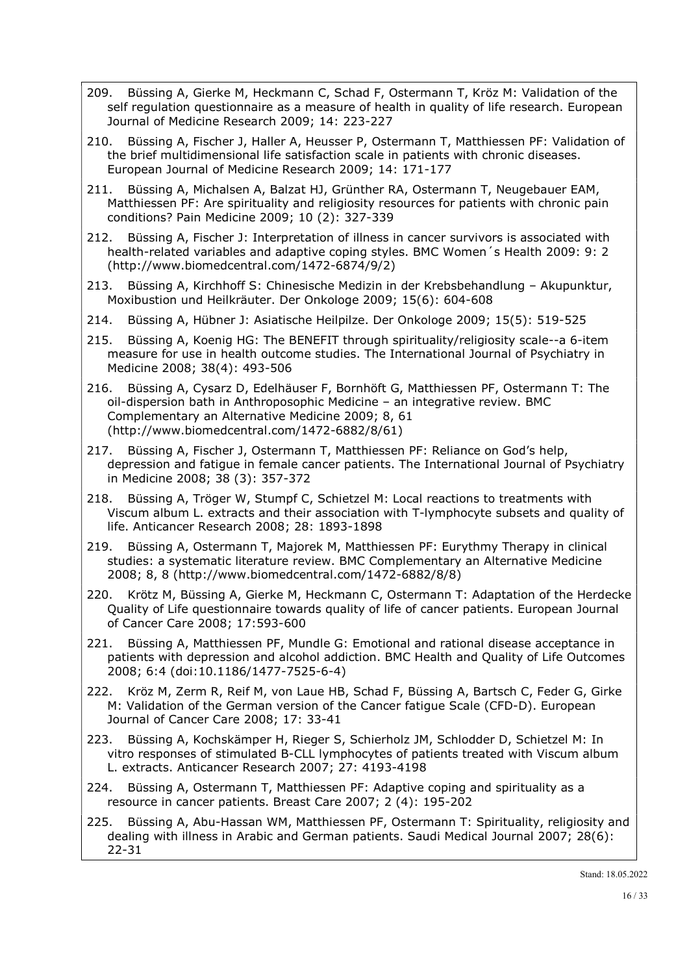- 209. Büssing A, Gierke M, Heckmann C, Schad F, Ostermann T, Kröz M: Validation of the self regulation questionnaire as a measure of health in quality of life research. European Journal of Medicine Research 2009; 14: 223-227
- 210. Büssing A, Fischer J, Haller A, Heusser P, Ostermann T, Matthiessen PF: Validation of the brief multidimensional life satisfaction scale in patients with chronic diseases. European Journal of Medicine Research 2009; 14: 171-177
- 211. Büssing A, Michalsen A, Balzat HJ, Grünther RA, Ostermann T, Neugebauer EAM, Matthiessen PF: Are spirituality and religiosity resources for patients with chronic pain conditions? Pain Medicine 2009; 10 (2): 327-339
- 212. Büssing A, Fischer J: Interpretation of illness in cancer survivors is associated with health-related variables and adaptive coping styles. BMC Women´s Health 2009: 9: 2 (http://www.biomedcentral.com/1472-6874/9/2)
- 213. Büssing A, Kirchhoff S: Chinesische Medizin in der Krebsbehandlung Akupunktur, Moxibustion und Heilkräuter. Der Onkologe 2009; 15(6): 604-608
- 214. Büssing A, Hübner J: Asiatische Heilpilze. Der Onkologe 2009; 15(5): 519-525
- 215. Büssing A, Koenig HG: The BENEFIT through spirituality/religiosity scale--a 6-item measure for use in health outcome studies. The International Journal of Psychiatry in Medicine 2008; 38(4): 493-506
- 216. Büssing A, Cysarz D, Edelhäuser F, Bornhöft G, Matthiessen PF, Ostermann T: The oil-dispersion bath in Anthroposophic Medicine – an integrative review. BMC Complementary an Alternative Medicine 2009; 8, 61 (http://www.biomedcentral.com/1472-6882/8/61)
- 217. Büssing A, Fischer J, Ostermann T, Matthiessen PF: Reliance on God's help, depression and fatigue in female cancer patients. The International Journal of Psychiatry in Medicine 2008; 38 (3): 357-372
- 218. Büssing A, Tröger W, Stumpf C, Schietzel M: Local reactions to treatments with Viscum album L. extracts and their association with T-lymphocyte subsets and quality of life. Anticancer Research 2008; 28: 1893-1898
- 219. Büssing A, Ostermann T, Majorek M, Matthiessen PF: Eurythmy Therapy in clinical studies: a systematic literature review. BMC Complementary an Alternative Medicine 2008; 8, 8 (http://www.biomedcentral.com/1472-6882/8/8)
- 220. Krötz M, Büssing A, Gierke M, Heckmann C, Ostermann T: Adaptation of the Herdecke Quality of Life questionnaire towards quality of life of cancer patients. European Journal of Cancer Care 2008; 17:593-600
- 221. Büssing A, Matthiessen PF, Mundle G: Emotional and rational disease acceptance in patients with depression and alcohol addiction. BMC Health and Quality of Life Outcomes 2008; 6:4 (doi:10.1186/1477-7525-6-4)
- 222. Kröz M, Zerm R, Reif M, von Laue HB, Schad F, Büssing A, Bartsch C, Feder G, Girke M: Validation of the German version of the Cancer fatigue Scale (CFD-D). European Journal of Cancer Care 2008; 17: 33-41
- 223. Büssing A, Kochskämper H, Rieger S, Schierholz JM, Schlodder D, Schietzel M: In vitro responses of stimulated B-CLL lymphocytes of patients treated with Viscum album L. extracts. Anticancer Research 2007; 27: 4193-4198
- 224. Büssing A, Ostermann T, Matthiessen PF: Adaptive coping and spirituality as a resource in cancer patients. Breast Care 2007; 2 (4): 195-202
- 225. Büssing A, Abu-Hassan WM, Matthiessen PF, Ostermann T: Spirituality, religiosity and dealing with illness in Arabic and German patients. Saudi Medical Journal 2007; 28(6): 22-31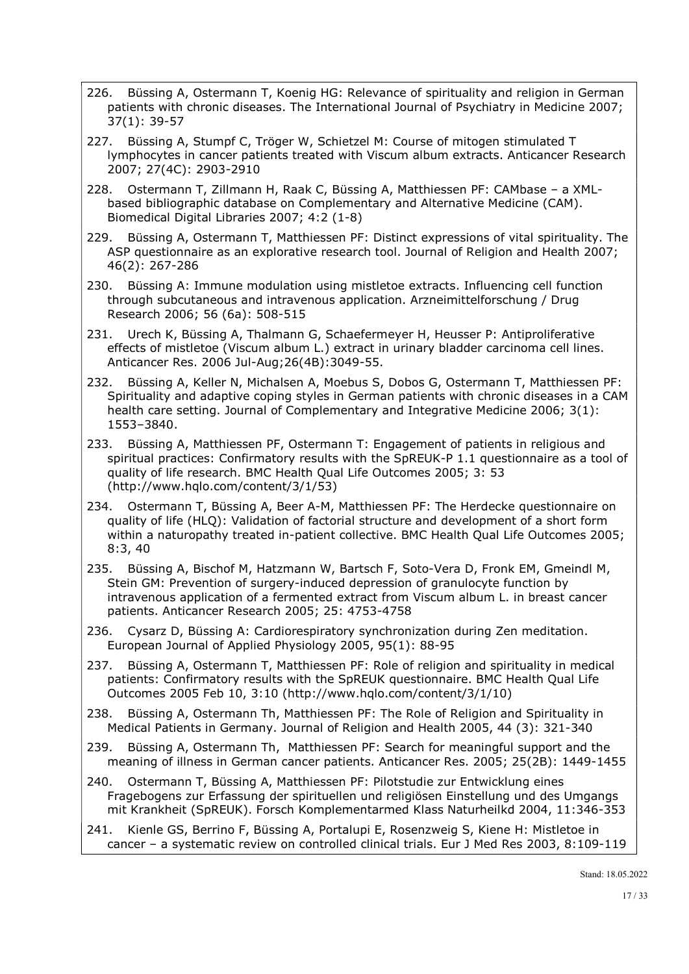- 226. Büssing A, Ostermann T, Koenig HG: Relevance of spirituality and religion in German patients with chronic diseases. The International Journal of Psychiatry in Medicine 2007; 37(1): 39-57
- 227. Büssing A, Stumpf C, Tröger W, Schietzel M: Course of mitogen stimulated T lymphocytes in cancer patients treated with Viscum album extracts. Anticancer Research 2007; 27(4C): 2903-2910
- 228. Ostermann T, Zillmann H, Raak C, Büssing A, Matthiessen PF: CAMbase a XMLbased bibliographic database on Complementary and Alternative Medicine (CAM). Biomedical Digital Libraries 2007; 4:2 (1-8)
- 229. Büssing A, Ostermann T, Matthiessen PF: Distinct expressions of vital spirituality. The ASP questionnaire as an explorative research tool. Journal of Religion and Health 2007; 46(2): 267-286
- 230. Büssing A: Immune modulation using mistletoe extracts. Influencing cell function through subcutaneous and intravenous application. Arzneimittelforschung / Drug Research 2006; 56 (6a): 508-515
- 231. Urech K, Büssing A, Thalmann G, Schaefermeyer H, Heusser P: Antiproliferative effects of mistletoe (Viscum album L.) extract in urinary bladder carcinoma cell lines. Anticancer Res. 2006 Jul-Aug;26(4B):3049-55.
- 232. Büssing A, Keller N, Michalsen A, Moebus S, Dobos G, Ostermann T, Matthiessen PF: Spirituality and adaptive coping styles in German patients with chronic diseases in a CAM health care setting. Journal of Complementary and Integrative Medicine 2006; 3(1): 1553–3840.
- 233. Büssing A, Matthiessen PF, Ostermann T: Engagement of patients in religious and spiritual practices: Confirmatory results with the SpREUK-P 1.1 questionnaire as a tool of quality of life research. BMC Health Qual Life Outcomes 2005; 3: 53 (http://www.hqlo.com/content/3/1/53)
- 234. Ostermann T, Büssing A, Beer A-M, Matthiessen PF: The Herdecke questionnaire on quality of life (HLQ): Validation of factorial structure and development of a short form within a naturopathy treated in-patient collective. BMC Health Qual Life Outcomes 2005; 8:3, 40
- 235. Büssing A, Bischof M, Hatzmann W, Bartsch F, Soto-Vera D, Fronk EM, Gmeindl M, Stein GM: Prevention of surgery-induced depression of granulocyte function by intravenous application of a fermented extract from Viscum album L. in breast cancer patients. Anticancer Research 2005; 25: 4753-4758
- 236. Cysarz D, Büssing A: Cardiorespiratory synchronization during Zen meditation. European Journal of Applied Physiology 2005, 95(1): 88-95
- 237. Büssing A, Ostermann T, Matthiessen PF: Role of religion and spirituality in medical patients: Confirmatory results with the SpREUK questionnaire. BMC Health Qual Life Outcomes 2005 Feb 10, 3:10 (http://www.hqlo.com/content/3/1/10)
- 238. Büssing A, Ostermann Th, Matthiessen PF: The Role of Religion and Spirituality in Medical Patients in Germany. Journal of Religion and Health 2005, 44 (3): 321-340
- 239. Büssing A, Ostermann Th, Matthiessen PF: Search for meaningful support and the meaning of illness in German cancer patients. Anticancer Res. 2005; 25(2B): 1449-1455
- 240. Ostermann T, Büssing A, Matthiessen PF: Pilotstudie zur Entwicklung eines Fragebogens zur Erfassung der spirituellen und religiösen Einstellung und des Umgangs mit Krankheit (SpREUK). Forsch Komplementarmed Klass Naturheilkd 2004, 11:346-353
- 241. Kienle GS, Berrino F, Büssing A, Portalupi E, Rosenzweig S, Kiene H: Mistletoe in cancer – a systematic review on controlled clinical trials. Eur J Med Res 2003, 8:109-119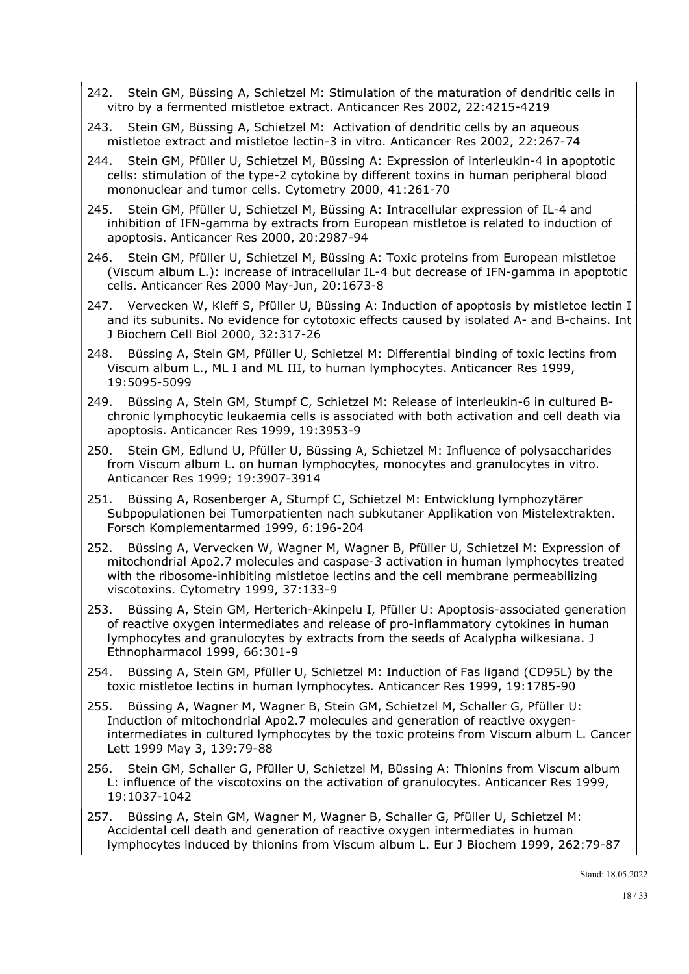- 242. Stein GM, Büssing A, Schietzel M: Stimulation of the maturation of dendritic cells in vitro by a fermented mistletoe extract. Anticancer Res 2002, 22:4215-4219
- 243. Stein GM, Büssing A, Schietzel M: Activation of dendritic cells by an aqueous mistletoe extract and mistletoe lectin-3 in vitro. Anticancer Res 2002, 22:267-74
- 244. Stein GM, Pfüller U, Schietzel M, Büssing A: Expression of interleukin-4 in apoptotic cells: stimulation of the type-2 cytokine by different toxins in human peripheral blood mononuclear and tumor cells. Cytometry 2000, 41:261-70
- 245. Stein GM, Pfüller U, Schietzel M, Büssing A: Intracellular expression of IL-4 and inhibition of IFN-gamma by extracts from European mistletoe is related to induction of apoptosis. Anticancer Res 2000, 20:2987-94
- 246. Stein GM, Pfüller U, Schietzel M, Büssing A: Toxic proteins from European mistletoe (Viscum album L.): increase of intracellular IL-4 but decrease of IFN-gamma in apoptotic cells. Anticancer Res 2000 May-Jun, 20:1673-8
- 247. Vervecken W, Kleff S, Pfüller U, Büssing A: Induction of apoptosis by mistletoe lectin I and its subunits. No evidence for cytotoxic effects caused by isolated A- and B-chains. Int J Biochem Cell Biol 2000, 32:317-26
- 248. Büssing A, Stein GM, Pfüller U, Schietzel M: Differential binding of toxic lectins from Viscum album L., ML I and ML III, to human lymphocytes. Anticancer Res 1999, 19:5095-5099
- 249. Büssing A, Stein GM, Stumpf C, Schietzel M: Release of interleukin-6 in cultured Bchronic lymphocytic leukaemia cells is associated with both activation and cell death via apoptosis. Anticancer Res 1999, 19:3953-9
- 250. Stein GM, Edlund U, Pfüller U, Büssing A, Schietzel M: Influence of polysaccharides from Viscum album L. on human lymphocytes, monocytes and granulocytes in vitro. Anticancer Res 1999; 19:3907-3914
- 251. Büssing A, Rosenberger A, Stumpf C, Schietzel M: Entwicklung lymphozytärer Subpopulationen bei Tumorpatienten nach subkutaner Applikation von Mistelextrakten. Forsch Komplementarmed 1999, 6:196-204
- 252. Büssing A, Vervecken W, Wagner M, Wagner B, Pfüller U, Schietzel M: Expression of mitochondrial Apo2.7 molecules and caspase-3 activation in human lymphocytes treated with the ribosome-inhibiting mistletoe lectins and the cell membrane permeabilizing viscotoxins. Cytometry 1999, 37:133-9
- 253. Büssing A, Stein GM, Herterich-Akinpelu I, Pfüller U: Apoptosis-associated generation of reactive oxygen intermediates and release of pro-inflammatory cytokines in human lymphocytes and granulocytes by extracts from the seeds of Acalypha wilkesiana. J Ethnopharmacol 1999, 66:301-9
- 254. Büssing A, Stein GM, Pfüller U, Schietzel M: Induction of Fas ligand (CD95L) by the toxic mistletoe lectins in human lymphocytes. Anticancer Res 1999, 19:1785-90
- 255. Büssing A, Wagner M, Wagner B, Stein GM, Schietzel M, Schaller G, Pfüller U: Induction of mitochondrial Apo2.7 molecules and generation of reactive oxygenintermediates in cultured lymphocytes by the toxic proteins from Viscum album L. Cancer Lett 1999 May 3, 139:79-88
- 256. Stein GM, Schaller G, Pfüller U, Schietzel M, Büssing A: Thionins from Viscum album L: influence of the viscotoxins on the activation of granulocytes. Anticancer Res 1999, 19:1037-1042
- 257. Büssing A, Stein GM, Wagner M, Wagner B, Schaller G, Pfüller U, Schietzel M: Accidental cell death and generation of reactive oxygen intermediates in human lymphocytes induced by thionins from Viscum album L. Eur J Biochem 1999, 262:79-87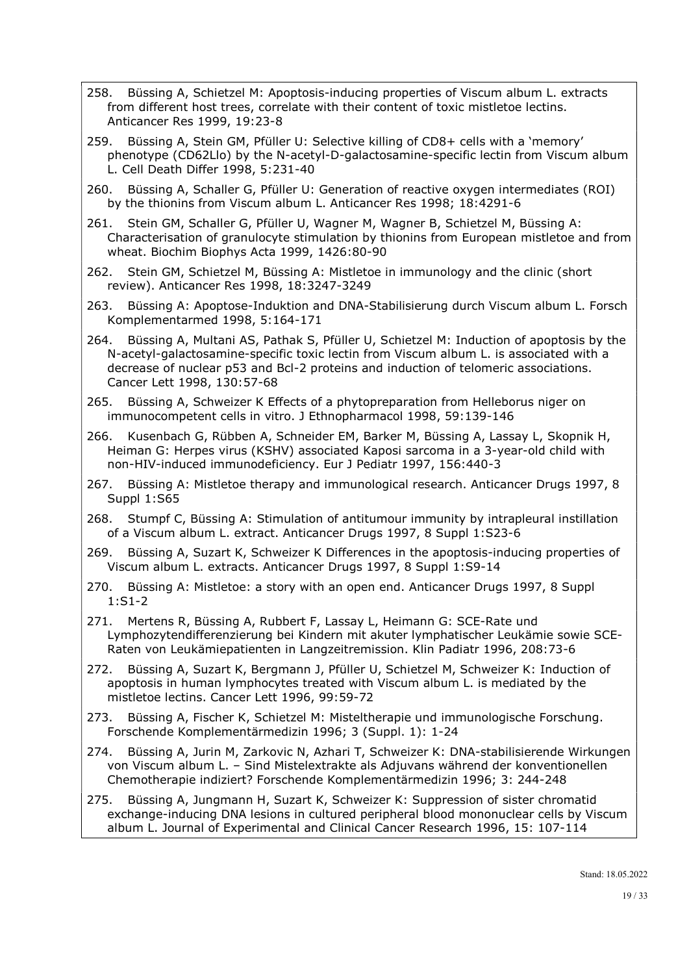- 258. Büssing A, Schietzel M: Apoptosis-inducing properties of Viscum album L. extracts from different host trees, correlate with their content of toxic mistletoe lectins. Anticancer Res 1999, 19:23-8
- 259. Büssing A, Stein GM, Pfüller U: Selective killing of CD8+ cells with a 'memory' phenotype (CD62Llo) by the N-acetyl-D-galactosamine-specific lectin from Viscum album L. Cell Death Differ 1998, 5:231-40
- 260. Büssing A, Schaller G, Pfüller U: Generation of reactive oxygen intermediates (ROI) by the thionins from Viscum album L. Anticancer Res 1998; 18:4291-6
- 261. Stein GM, Schaller G, Pfüller U, Wagner M, Wagner B, Schietzel M, Büssing A: Characterisation of granulocyte stimulation by thionins from European mistletoe and from wheat. Biochim Biophys Acta 1999, 1426:80-90
- 262. Stein GM, Schietzel M, Büssing A: Mistletoe in immunology and the clinic (short review). Anticancer Res 1998, 18:3247-3249
- 263. Büssing A: Apoptose-Induktion and DNA-Stabilisierung durch Viscum album L. Forsch Komplementarmed 1998, 5:164-171
- 264. Büssing A, Multani AS, Pathak S, Pfüller U, Schietzel M: Induction of apoptosis by the N-acetyl-galactosamine-specific toxic lectin from Viscum album L. is associated with a decrease of nuclear p53 and Bcl-2 proteins and induction of telomeric associations. Cancer Lett 1998, 130:57-68
- 265. Büssing A, Schweizer K Effects of a phytopreparation from Helleborus niger on immunocompetent cells in vitro. J Ethnopharmacol 1998, 59:139-146
- 266. Kusenbach G, Rübben A, Schneider EM, Barker M, Büssing A, Lassay L, Skopnik H, Heiman G: Herpes virus (KSHV) associated Kaposi sarcoma in a 3-year-old child with non-HIV-induced immunodeficiency. Eur J Pediatr 1997, 156:440-3
- 267. Büssing A: Mistletoe therapy and immunological research. Anticancer Drugs 1997, 8 Suppl 1:S65
- 268. Stumpf C, Büssing A: Stimulation of antitumour immunity by intrapleural instillation of a Viscum album L. extract. Anticancer Drugs 1997, 8 Suppl 1:S23-6
- 269. Büssing A, Suzart K, Schweizer K Differences in the apoptosis-inducing properties of Viscum album L. extracts. Anticancer Drugs 1997, 8 Suppl 1:S9-14
- 270. Büssing A: Mistletoe: a story with an open end. Anticancer Drugs 1997, 8 Suppl 1:S1-2
- 271. Mertens R, Büssing A, Rubbert F, Lassay L, Heimann G: SCE-Rate und Lymphozytendifferenzierung bei Kindern mit akuter lymphatischer Leukämie sowie SCE-Raten von Leukämiepatienten in Langzeitremission. Klin Padiatr 1996, 208:73-6
- 272. Büssing A, Suzart K, Bergmann J, Pfüller U, Schietzel M, Schweizer K: Induction of apoptosis in human lymphocytes treated with Viscum album L. is mediated by the mistletoe lectins. Cancer Lett 1996, 99:59-72
- 273. Büssing A, Fischer K, Schietzel M: Misteltherapie und immunologische Forschung. Forschende Komplementärmedizin 1996; 3 (Suppl. 1): 1-24
- 274. Büssing A, Jurin M, Zarkovic N, Azhari T, Schweizer K: DNA-stabilisierende Wirkungen von Viscum album L. – Sind Mistelextrakte als Adjuvans während der konventionellen Chemotherapie indiziert? Forschende Komplementärmedizin 1996; 3: 244-248
- 275. Büssing A, Jungmann H, Suzart K, Schweizer K: Suppression of sister chromatid exchange-inducing DNA lesions in cultured peripheral blood mononuclear cells by Viscum album L. Journal of Experimental and Clinical Cancer Research 1996, 15: 107-114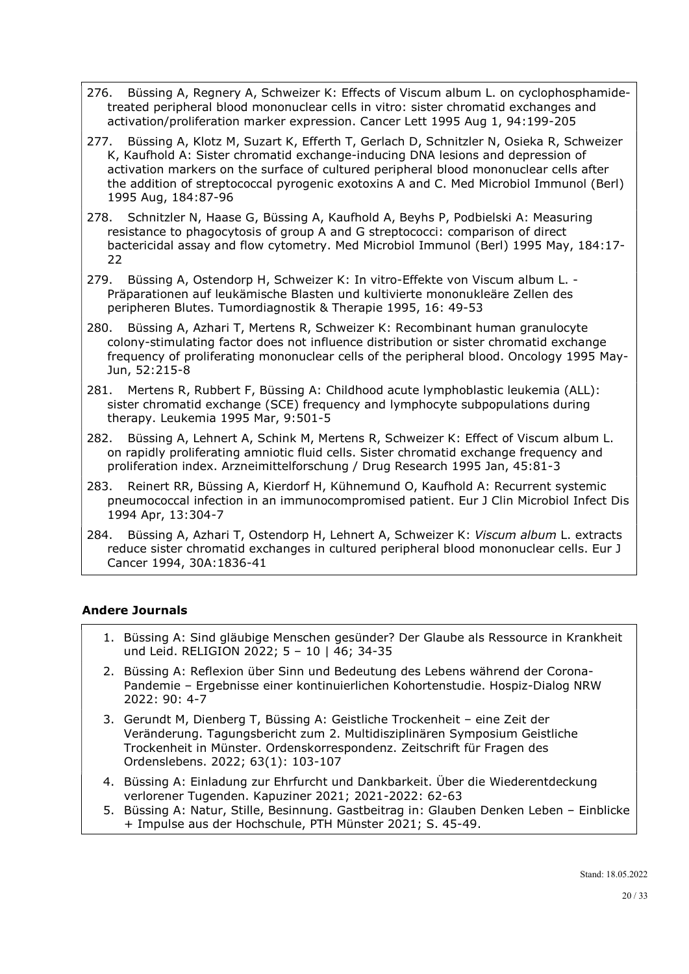- 276. Büssing A, Regnery A, Schweizer K: Effects of Viscum album L. on cyclophosphamidetreated peripheral blood mononuclear cells in vitro: sister chromatid exchanges and activation/proliferation marker expression. Cancer Lett 1995 Aug 1, 94:199-205
- 277. Büssing A, Klotz M, Suzart K, Efferth T, Gerlach D, Schnitzler N, Osieka R, Schweizer K, Kaufhold A: Sister chromatid exchange-inducing DNA lesions and depression of activation markers on the surface of cultured peripheral blood mononuclear cells after the addition of streptococcal pyrogenic exotoxins A and C. Med Microbiol Immunol (Berl) 1995 Aug, 184:87-96
- 278. Schnitzler N, Haase G, Büssing A, Kaufhold A, Beyhs P, Podbielski A: Measuring resistance to phagocytosis of group A and G streptococci: comparison of direct bactericidal assay and flow cytometry. Med Microbiol Immunol (Berl) 1995 May, 184:17- 22
- 279. Büssing A, Ostendorp H, Schweizer K: In vitro-Effekte von Viscum album L. Präparationen auf leukämische Blasten und kultivierte mononukleäre Zellen des peripheren Blutes. Tumordiagnostik & Therapie 1995, 16: 49-53
- 280. Büssing A, Azhari T, Mertens R, Schweizer K: Recombinant human granulocyte colony-stimulating factor does not influence distribution or sister chromatid exchange frequency of proliferating mononuclear cells of the peripheral blood. Oncology 1995 May-Jun, 52:215-8
- 281. Mertens R, Rubbert F, Büssing A: Childhood acute lymphoblastic leukemia (ALL): sister chromatid exchange (SCE) frequency and lymphocyte subpopulations during therapy. Leukemia 1995 Mar, 9:501-5
- 282. Büssing A, Lehnert A, Schink M, Mertens R, Schweizer K: Effect of Viscum album L. on rapidly proliferating amniotic fluid cells. Sister chromatid exchange frequency and proliferation index. Arzneimittelforschung / Drug Research 1995 Jan, 45:81-3
- 283. Reinert RR, Büssing A, Kierdorf H, Kühnemund O, Kaufhold A: Recurrent systemic pneumococcal infection in an immunocompromised patient. Eur J Clin Microbiol Infect Dis 1994 Apr, 13:304-7
- 284. Büssing A, Azhari T, Ostendorp H, Lehnert A, Schweizer K: Viscum album L. extracts reduce sister chromatid exchanges in cultured peripheral blood mononuclear cells. Eur J Cancer 1994, 30A:1836-41

# Andere Journals

- 1. Büssing A: Sind gläubige Menschen gesünder? Der Glaube als Ressource in Krankheit und Leid. RELIGION 2022; 5 – 10 | 46; 34-35
- 2. Büssing A: Reflexion über Sinn und Bedeutung des Lebens während der Corona-Pandemie – Ergebnisse einer kontinuierlichen Kohortenstudie. Hospiz-Dialog NRW 2022: 90: 4-7
- 3. Gerundt M, Dienberg T, Büssing A: Geistliche Trockenheit eine Zeit der Veränderung. Tagungsbericht zum 2. Multidisziplinären Symposium Geistliche Trockenheit in Münster. Ordenskorrespondenz. Zeitschrift für Fragen des Ordenslebens. 2022; 63(1): 103-107
- 4. Büssing A: Einladung zur Ehrfurcht und Dankbarkeit. Über die Wiederentdeckung verlorener Tugenden. Kapuziner 2021; 2021-2022: 62-63
- 5. Büssing A: Natur, Stille, Besinnung. Gastbeitrag in: Glauben Denken Leben Einblicke + Impulse aus der Hochschule, PTH Münster 2021; S. 45-49.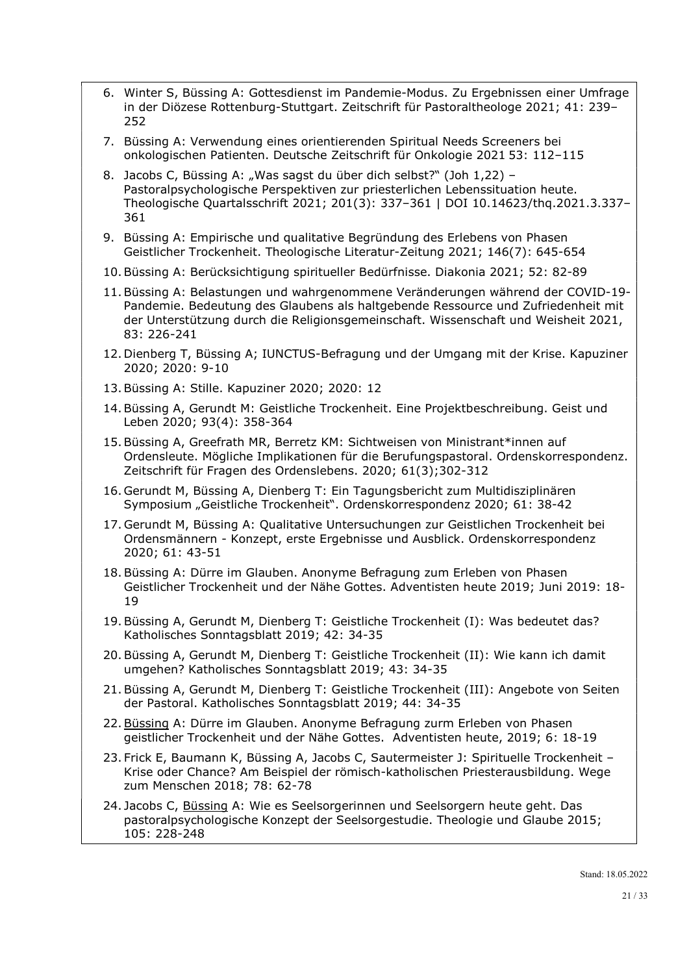- 6. Winter S, Büssing A: Gottesdienst im Pandemie-Modus. Zu Ergebnissen einer Umfrage in der Diözese Rottenburg-Stuttgart. Zeitschrift für Pastoraltheologe 2021; 41: 239– 252
- 7. Büssing A: Verwendung eines orientierenden Spiritual Needs Screeners bei onkologischen Patienten. Deutsche Zeitschrift für Onkologie 2021 53: 112–115
- 8. Jacobs C, Büssing A: "Was sagst du über dich selbst?" (Joh 1,22) Pastoralpsychologische Perspektiven zur priesterlichen Lebenssituation heute. Theologische Quartalsschrift 2021; 201(3): 337–361 | DOI 10.14623/thq.2021.3.337– 361
- 9. Büssing A: Empirische und qualitative Begründung des Erlebens von Phasen Geistlicher Trockenheit. Theologische Literatur-Zeitung 2021; 146(7): 645-654
- 10.Büssing A: Berücksichtigung spiritueller Bedürfnisse. Diakonia 2021; 52: 82-89
- 11.Büssing A: Belastungen und wahrgenommene Veränderungen während der COVID-19- Pandemie. Bedeutung des Glaubens als haltgebende Ressource und Zufriedenheit mit der Unterstützung durch die Religionsgemeinschaft. Wissenschaft und Weisheit 2021, 83: 226-241
- 12. Dienberg T, Büssing A; IUNCTUS-Befragung und der Umgang mit der Krise. Kapuziner 2020; 2020: 9-10
- 13.Büssing A: Stille. Kapuziner 2020; 2020: 12
- 14.Büssing A, Gerundt M: Geistliche Trockenheit. Eine Projektbeschreibung. Geist und Leben 2020; 93(4): 358-364
- 15.Büssing A, Greefrath MR, Berretz KM: Sichtweisen von Ministrant\*innen auf Ordensleute. Mögliche Implikationen für die Berufungspastoral. Ordenskorrespondenz. Zeitschrift für Fragen des Ordenslebens. 2020; 61(3);302-312
- 16. Gerundt M, Büssing A, Dienberg T: Ein Tagungsbericht zum Multidisziplinären Symposium "Geistliche Trockenheit". Ordenskorrespondenz 2020; 61: 38-42
- 17. Gerundt M, Büssing A: Qualitative Untersuchungen zur Geistlichen Trockenheit bei Ordensmännern - Konzept, erste Ergebnisse und Ausblick. Ordenskorrespondenz 2020; 61: 43-51
- 18. Büssing A: Dürre im Glauben. Anonyme Befragung zum Erleben von Phasen Geistlicher Trockenheit und der Nähe Gottes. Adventisten heute 2019; Juni 2019: 18- 19
- 19. Büssing A, Gerundt M, Dienberg T: Geistliche Trockenheit (I): Was bedeutet das? Katholisches Sonntagsblatt 2019; 42: 34-35
- 20. Büssing A, Gerundt M, Dienberg T: Geistliche Trockenheit (II): Wie kann ich damit umgehen? Katholisches Sonntagsblatt 2019; 43: 34-35
- 21. Büssing A, Gerundt M, Dienberg T: Geistliche Trockenheit (III): Angebote von Seiten der Pastoral. Katholisches Sonntagsblatt 2019; 44: 34-35
- 22. Büssing A: Dürre im Glauben. Anonyme Befragung zurm Erleben von Phasen geistlicher Trockenheit und der Nähe Gottes. Adventisten heute, 2019; 6: 18-19
- 23. Frick E, Baumann K, Büssing A, Jacobs C, Sautermeister J: Spirituelle Trockenheit Krise oder Chance? Am Beispiel der römisch-katholischen Priesterausbildung. Wege zum Menschen 2018; 78: 62-78
- 24. Jacobs C, Büssing A: Wie es Seelsorgerinnen und Seelsorgern heute geht. Das pastoralpsychologische Konzept der Seelsorgestudie. Theologie und Glaube 2015; 105: 228-248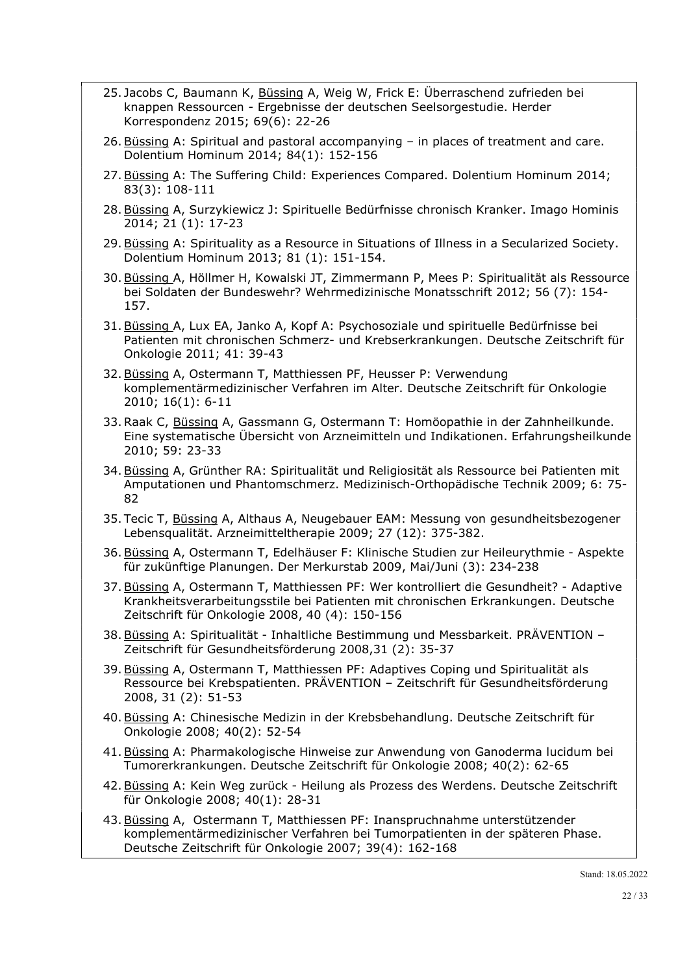- 25. Jacobs C, Baumann K, Büssing A, Weig W, Frick E: Überraschend zufrieden bei knappen Ressourcen - Ergebnisse der deutschen Seelsorgestudie. Herder Korrespondenz 2015; 69(6): 22-26
- 26. Büssing A: Spiritual and pastoral accompanying in places of treatment and care. Dolentium Hominum 2014; 84(1): 152-156
- 27. Büssing A: The Suffering Child: Experiences Compared. Dolentium Hominum 2014; 83(3): 108-111
- 28. Büssing A, Surzykiewicz J: Spirituelle Bedürfnisse chronisch Kranker. Imago Hominis 2014; 21 (1): 17-23
- 29. Büssing A: Spirituality as a Resource in Situations of Illness in a Secularized Society. Dolentium Hominum 2013; 81 (1): 151-154.
- 30. Büssing A, Höllmer H, Kowalski JT, Zimmermann P, Mees P: Spiritualität als Ressource bei Soldaten der Bundeswehr? Wehrmedizinische Monatsschrift 2012; 56 (7): 154- 157.
- 31. Büssing A, Lux EA, Janko A, Kopf A: Psychosoziale und spirituelle Bedürfnisse bei Patienten mit chronischen Schmerz- und Krebserkrankungen. Deutsche Zeitschrift für Onkologie 2011; 41: 39-43
- 32. Büssing A, Ostermann T, Matthiessen PF, Heusser P: Verwendung komplementärmedizinischer Verfahren im Alter. Deutsche Zeitschrift für Onkologie 2010; 16(1): 6-11
- 33.Raak C, Büssing A, Gassmann G, Ostermann T: Homöopathie in der Zahnheilkunde. Eine systematische Übersicht von Arzneimitteln und Indikationen. Erfahrungsheilkunde 2010; 59: 23-33
- 34. Büssing A, Grünther RA: Spiritualität und Religiosität als Ressource bei Patienten mit Amputationen und Phantomschmerz. Medizinisch-Orthopädische Technik 2009; 6: 75- 82
- 35. Tecic T, Büssing A, Althaus A, Neugebauer EAM: Messung von gesundheitsbezogener Lebensqualität. Arzneimitteltherapie 2009; 27 (12): 375-382.
- 36. Büssing A, Ostermann T, Edelhäuser F: Klinische Studien zur Heileurythmie Aspekte für zukünftige Planungen. Der Merkurstab 2009, Mai/Juni (3): 234-238
- 37. Büssing A, Ostermann T, Matthiessen PF: Wer kontrolliert die Gesundheit? Adaptive Krankheitsverarbeitungsstile bei Patienten mit chronischen Erkrankungen. Deutsche Zeitschrift für Onkologie 2008, 40 (4): 150-156
- 38. Büssing A: Spiritualität Inhaltliche Bestimmung und Messbarkeit. PRÄVENTION Zeitschrift für Gesundheitsförderung 2008,31 (2): 35-37
- 39. Büssing A, Ostermann T, Matthiessen PF: Adaptives Coping und Spiritualität als Ressource bei Krebspatienten. PRÄVENTION – Zeitschrift für Gesundheitsförderung 2008, 31 (2): 51-53
- 40. Büssing A: Chinesische Medizin in der Krebsbehandlung. Deutsche Zeitschrift für Onkologie 2008; 40(2): 52-54
- 41. Büssing A: Pharmakologische Hinweise zur Anwendung von Ganoderma lucidum bei Tumorerkrankungen. Deutsche Zeitschrift für Onkologie 2008; 40(2): 62-65
- 42. Büssing A: Kein Weg zurück Heilung als Prozess des Werdens. Deutsche Zeitschrift für Onkologie 2008; 40(1): 28-31
- 43. Büssing A, Ostermann T, Matthiessen PF: Inanspruchnahme unterstützender komplementärmedizinischer Verfahren bei Tumorpatienten in der späteren Phase. Deutsche Zeitschrift für Onkologie 2007; 39(4): 162-168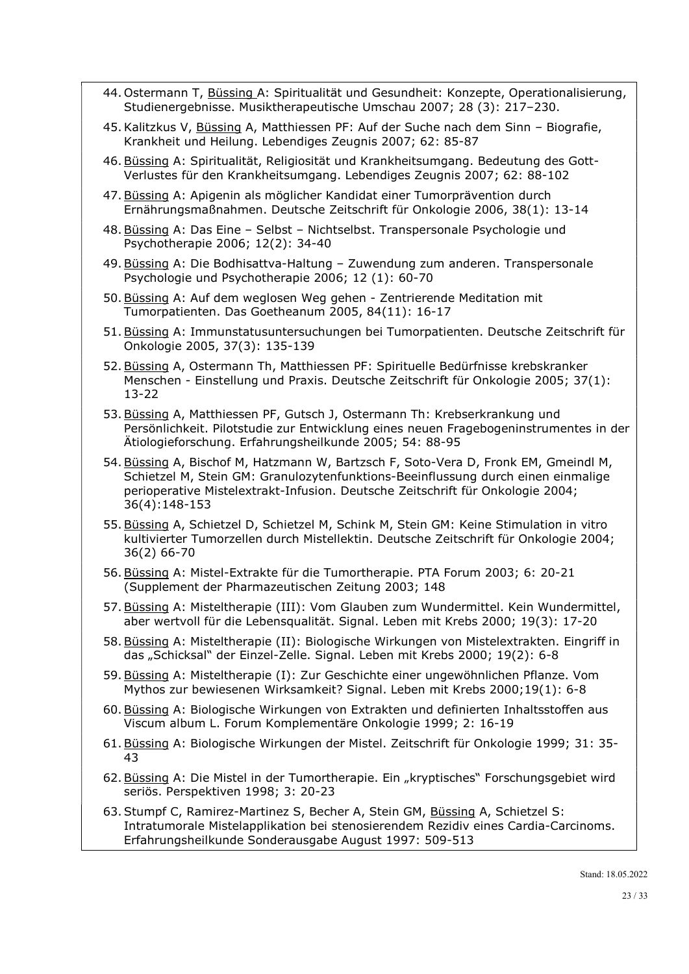- 44. Ostermann T, Büssing A: Spiritualität und Gesundheit: Konzepte, Operationalisierung, Studienergebnisse. Musiktherapeutische Umschau 2007; 28 (3): 217–230.
- 45. Kalitzkus V, Büssing A, Matthiessen PF: Auf der Suche nach dem Sinn Biografie, Krankheit und Heilung. Lebendiges Zeugnis 2007; 62: 85-87
- 46. Büssing A: Spiritualität, Religiosität und Krankheitsumgang. Bedeutung des Gott-Verlustes für den Krankheitsumgang. Lebendiges Zeugnis 2007; 62: 88-102
- 47. Büssing A: Apigenin als möglicher Kandidat einer Tumorprävention durch Ernährungsmaßnahmen. Deutsche Zeitschrift für Onkologie 2006, 38(1): 13-14
- 48. Büssing A: Das Eine Selbst Nichtselbst. Transpersonale Psychologie und Psychotherapie 2006; 12(2): 34-40
- 49. Büssing A: Die Bodhisattva-Haltung Zuwendung zum anderen. Transpersonale Psychologie und Psychotherapie 2006; 12 (1): 60-70
- 50. Büssing A: Auf dem weglosen Weg gehen Zentrierende Meditation mit Tumorpatienten. Das Goetheanum 2005, 84(11): 16-17
- 51. Büssing A: Immunstatusuntersuchungen bei Tumorpatienten. Deutsche Zeitschrift für Onkologie 2005, 37(3): 135-139
- 52. Büssing A, Ostermann Th, Matthiessen PF: Spirituelle Bedürfnisse krebskranker Menschen - Einstellung und Praxis. Deutsche Zeitschrift für Onkologie 2005; 37(1): 13-22
- 53. Büssing A, Matthiessen PF, Gutsch J, Ostermann Th: Krebserkrankung und Persönlichkeit. Pilotstudie zur Entwicklung eines neuen Fragebogeninstrumentes in der Ätiologieforschung. Erfahrungsheilkunde 2005; 54: 88-95
- 54. Büssing A, Bischof M, Hatzmann W, Bartzsch F, Soto-Vera D, Fronk EM, Gmeindl M, Schietzel M, Stein GM: Granulozytenfunktions-Beeinflussung durch einen einmalige perioperative Mistelextrakt-Infusion. Deutsche Zeitschrift für Onkologie 2004; 36(4):148-153
- 55. Büssing A, Schietzel D, Schietzel M, Schink M, Stein GM: Keine Stimulation in vitro kultivierter Tumorzellen durch Mistellektin. Deutsche Zeitschrift für Onkologie 2004; 36(2) 66-70
- 56. Büssing A: Mistel-Extrakte für die Tumortherapie. PTA Forum 2003; 6: 20-21 (Supplement der Pharmazeutischen Zeitung 2003; 148
- 57. Büssing A: Misteltherapie (III): Vom Glauben zum Wundermittel. Kein Wundermittel, aber wertvoll für die Lebensqualität. Signal. Leben mit Krebs 2000; 19(3): 17-20
- 58. Büssing A: Misteltherapie (II): Biologische Wirkungen von Mistelextrakten. Eingriff in das "Schicksal" der Einzel-Zelle. Signal. Leben mit Krebs 2000; 19(2): 6-8
- 59. Büssing A: Misteltherapie (I): Zur Geschichte einer ungewöhnlichen Pflanze. Vom Mythos zur bewiesenen Wirksamkeit? Signal. Leben mit Krebs 2000;19(1): 6-8
- 60. Büssing A: Biologische Wirkungen von Extrakten und definierten Inhaltsstoffen aus Viscum album L. Forum Komplementäre Onkologie 1999; 2: 16-19
- 61. Büssing A: Biologische Wirkungen der Mistel. Zeitschrift für Onkologie 1999; 31: 35- 43
- 62. Büssing A: Die Mistel in der Tumortherapie. Ein "kryptisches" Forschungsgebiet wird seriös. Perspektiven 1998; 3: 20-23
- 63. Stumpf C, Ramirez-Martinez S, Becher A, Stein GM, Büssing A, Schietzel S: Intratumorale Mistelapplikation bei stenosierendem Rezidiv eines Cardia-Carcinoms. Erfahrungsheilkunde Sonderausgabe August 1997: 509-513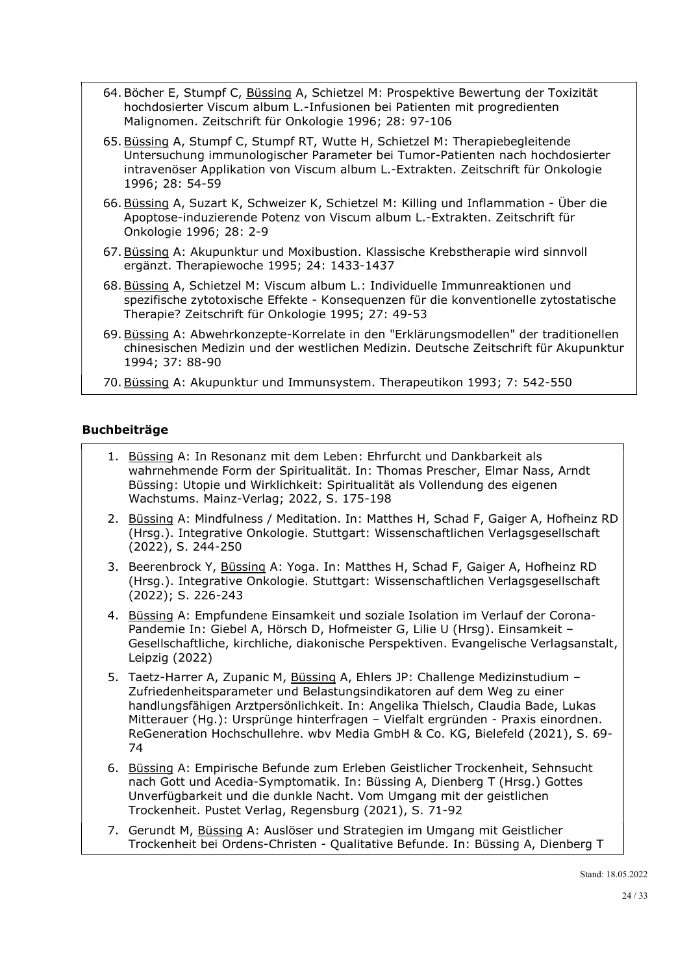- 64. Böcher E, Stumpf C, Büssing A, Schietzel M: Prospektive Bewertung der Toxizität hochdosierter Viscum album L.-Infusionen bei Patienten mit progredienten Malignomen. Zeitschrift für Onkologie 1996; 28: 97-106
- 65. Büssing A, Stumpf C, Stumpf RT, Wutte H, Schietzel M: Therapiebegleitende Untersuchung immunologischer Parameter bei Tumor-Patienten nach hochdosierter intravenöser Applikation von Viscum album L.-Extrakten. Zeitschrift für Onkologie 1996; 28: 54-59
- 66. Büssing A, Suzart K, Schweizer K, Schietzel M: Killing und Inflammation Über die Apoptose-induzierende Potenz von Viscum album L.-Extrakten. Zeitschrift für Onkologie 1996; 28: 2-9
- 67. Büssing A: Akupunktur und Moxibustion. Klassische Krebstherapie wird sinnvoll ergänzt. Therapiewoche 1995; 24: 1433-1437
- 68. Büssing A, Schietzel M: Viscum album L.: Individuelle Immunreaktionen und spezifische zytotoxische Effekte - Konsequenzen für die konventionelle zytostatische Therapie? Zeitschrift für Onkologie 1995; 27: 49-53
- 69. Büssing A: Abwehrkonzepte-Korrelate in den "Erklärungsmodellen" der traditionellen chinesischen Medizin und der westlichen Medizin. Deutsche Zeitschrift für Akupunktur 1994; 37: 88-90
- 70. Büssing A: Akupunktur und Immunsystem. Therapeutikon 1993; 7: 542-550

# Buchbeiträge

- 1. Büssing A: In Resonanz mit dem Leben: Ehrfurcht und Dankbarkeit als wahrnehmende Form der Spiritualität. In: Thomas Prescher, Elmar Nass, Arndt Büssing: Utopie und Wirklichkeit: Spiritualität als Vollendung des eigenen Wachstums. Mainz-Verlag; 2022, S. 175-198
- 2. Büssing A: Mindfulness / Meditation. In: Matthes H, Schad F, Gaiger A, Hofheinz RD (Hrsg.). Integrative Onkologie. Stuttgart: Wissenschaftlichen Verlagsgesellschaft (2022), S. 244-250
- 3. Beerenbrock Y, Büssing A: Yoga. In: Matthes H, Schad F, Gaiger A, Hofheinz RD (Hrsg.). Integrative Onkologie. Stuttgart: Wissenschaftlichen Verlagsgesellschaft (2022); S. 226-243
- 4. Büssing A: Empfundene Einsamkeit und soziale Isolation im Verlauf der Corona-Pandemie In: Giebel A, Hörsch D, Hofmeister G, Lilie U (Hrsg). Einsamkeit – Gesellschaftliche, kirchliche, diakonische Perspektiven. Evangelische Verlagsanstalt, Leipzig (2022)
- 5. Taetz-Harrer A, Zupanic M, Büssing A, Ehlers JP: Challenge Medizinstudium -Zufriedenheitsparameter und Belastungsindikatoren auf dem Weg zu einer handlungsfähigen Arztpersönlichkeit. In: Angelika Thielsch, Claudia Bade, Lukas Mitterauer (Hg.): Ursprünge hinterfragen – Vielfalt ergründen - Praxis einordnen. ReGeneration Hochschullehre. wbv Media GmbH & Co. KG, Bielefeld (2021), S. 69- 74
- 6. Büssing A: Empirische Befunde zum Erleben Geistlicher Trockenheit, Sehnsucht nach Gott und Acedia-Symptomatik. In: Büssing A, Dienberg T (Hrsg.) Gottes Unverfügbarkeit und die dunkle Nacht. Vom Umgang mit der geistlichen Trockenheit. Pustet Verlag, Regensburg (2021), S. 71-92
- 7. Gerundt M, Büssing A: Auslöser und Strategien im Umgang mit Geistlicher Trockenheit bei Ordens-Christen - Qualitative Befunde. In: Büssing A, Dienberg T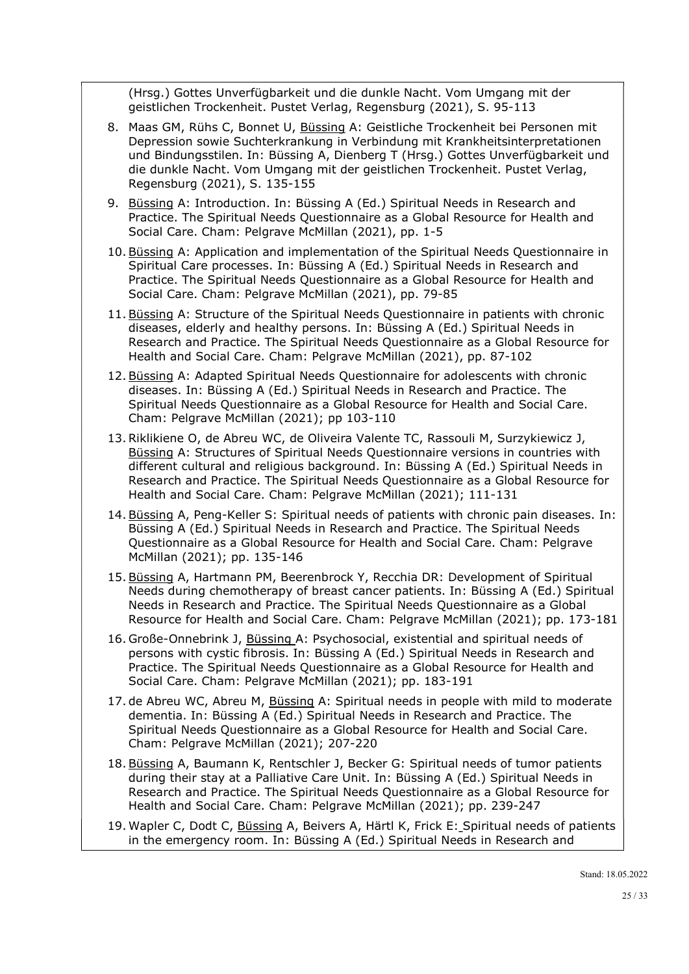(Hrsg.) Gottes Unverfügbarkeit und die dunkle Nacht. Vom Umgang mit der geistlichen Trockenheit. Pustet Verlag, Regensburg (2021), S. 95-113

- 8. Maas GM, Rühs C, Bonnet U, Büssing A: Geistliche Trockenheit bei Personen mit Depression sowie Suchterkrankung in Verbindung mit Krankheitsinterpretationen und Bindungsstilen. In: Büssing A, Dienberg T (Hrsg.) Gottes Unverfügbarkeit und die dunkle Nacht. Vom Umgang mit der geistlichen Trockenheit. Pustet Verlag, Regensburg (2021), S. 135-155
- 9. Büssing A: Introduction. In: Büssing A (Ed.) Spiritual Needs in Research and Practice. The Spiritual Needs Questionnaire as a Global Resource for Health and Social Care. Cham: Pelgrave McMillan (2021), pp. 1-5
- 10. Büssing A: Application and implementation of the Spiritual Needs Questionnaire in Spiritual Care processes. In: Büssing A (Ed.) Spiritual Needs in Research and Practice. The Spiritual Needs Questionnaire as a Global Resource for Health and Social Care. Cham: Pelgrave McMillan (2021), pp. 79-85
- 11. Büssing A: Structure of the Spiritual Needs Questionnaire in patients with chronic diseases, elderly and healthy persons. In: Büssing A (Ed.) Spiritual Needs in Research and Practice. The Spiritual Needs Questionnaire as a Global Resource for Health and Social Care. Cham: Pelgrave McMillan (2021), pp. 87-102
- 12. Büssing A: Adapted Spiritual Needs Questionnaire for adolescents with chronic diseases. In: Büssing A (Ed.) Spiritual Needs in Research and Practice. The Spiritual Needs Questionnaire as a Global Resource for Health and Social Care. Cham: Pelgrave McMillan (2021); pp 103-110
- 13.Riklikiene O, de Abreu WC, de Oliveira Valente TC, Rassouli M, Surzykiewicz J, Büssing A: Structures of Spiritual Needs Questionnaire versions in countries with different cultural and religious background. In: Büssing A (Ed.) Spiritual Needs in Research and Practice. The Spiritual Needs Questionnaire as a Global Resource for Health and Social Care. Cham: Pelgrave McMillan (2021); 111-131
- 14. Büssing A, Peng-Keller S: Spiritual needs of patients with chronic pain diseases. In: Büssing A (Ed.) Spiritual Needs in Research and Practice. The Spiritual Needs Questionnaire as a Global Resource for Health and Social Care. Cham: Pelgrave McMillan (2021); pp. 135-146
- 15. Büssing A, Hartmann PM, Beerenbrock Y, Recchia DR: Development of Spiritual Needs during chemotherapy of breast cancer patients. In: Büssing A (Ed.) Spiritual Needs in Research and Practice. The Spiritual Needs Questionnaire as a Global Resource for Health and Social Care. Cham: Pelgrave McMillan (2021); pp. 173-181
- 16. Große-Onnebrink J, Büssing A: Psychosocial, existential and spiritual needs of persons with cystic fibrosis. In: Büssing A (Ed.) Spiritual Needs in Research and Practice. The Spiritual Needs Questionnaire as a Global Resource for Health and Social Care. Cham: Pelgrave McMillan (2021); pp. 183-191
- 17. de Abreu WC, Abreu M, Büssing A: Spiritual needs in people with mild to moderate dementia. In: Büssing A (Ed.) Spiritual Needs in Research and Practice. The Spiritual Needs Questionnaire as a Global Resource for Health and Social Care. Cham: Pelgrave McMillan (2021); 207-220
- 18. Büssing A, Baumann K, Rentschler J, Becker G: Spiritual needs of tumor patients during their stay at a Palliative Care Unit. In: Büssing A (Ed.) Spiritual Needs in Research and Practice. The Spiritual Needs Questionnaire as a Global Resource for Health and Social Care. Cham: Pelgrave McMillan (2021); pp. 239-247
- 19. Wapler C, Dodt C, Büssing A, Beivers A, Härtl K, Frick E: Spiritual needs of patients in the emergency room. In: Büssing A (Ed.) Spiritual Needs in Research and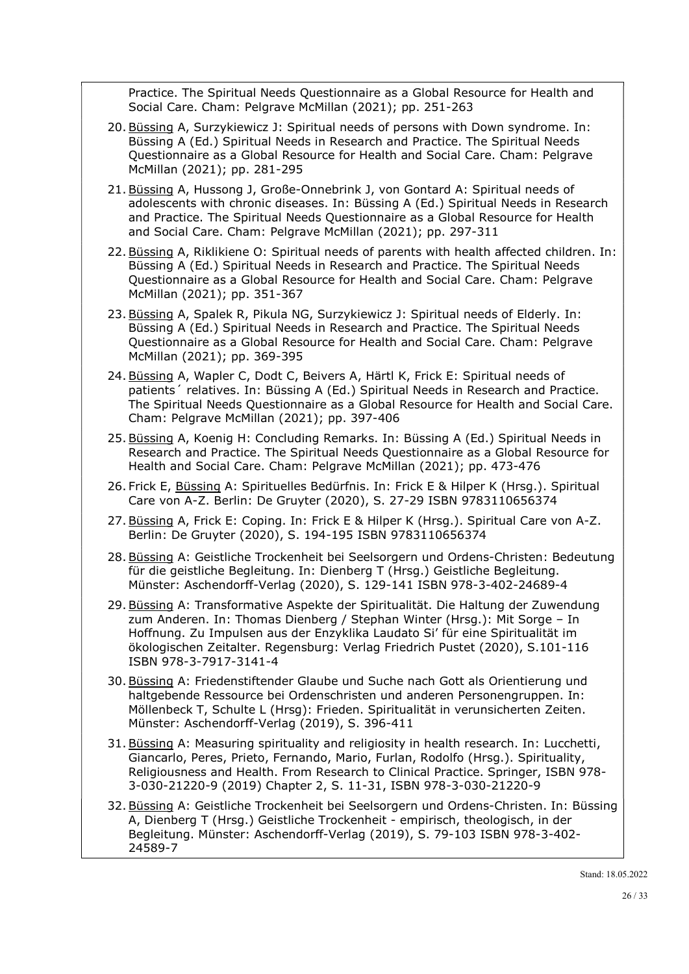Practice. The Spiritual Needs Questionnaire as a Global Resource for Health and Social Care. Cham: Pelgrave McMillan (2021); pp. 251-263

- 20. Büssing A, Surzykiewicz J: Spiritual needs of persons with Down syndrome. In: Büssing A (Ed.) Spiritual Needs in Research and Practice. The Spiritual Needs Questionnaire as a Global Resource for Health and Social Care. Cham: Pelgrave McMillan (2021); pp. 281-295
- 21. Büssing A, Hussong J, Große-Onnebrink J, von Gontard A: Spiritual needs of adolescents with chronic diseases. In: Büssing A (Ed.) Spiritual Needs in Research and Practice. The Spiritual Needs Questionnaire as a Global Resource for Health and Social Care. Cham: Pelgrave McMillan (2021); pp. 297-311
- 22. Büssing A, Riklikiene O: Spiritual needs of parents with health affected children. In: Büssing A (Ed.) Spiritual Needs in Research and Practice. The Spiritual Needs Questionnaire as a Global Resource for Health and Social Care. Cham: Pelgrave McMillan (2021); pp. 351-367
- 23. Büssing A, Spalek R, Pikula NG, Surzykiewicz J: Spiritual needs of Elderly. In: Büssing A (Ed.) Spiritual Needs in Research and Practice. The Spiritual Needs Questionnaire as a Global Resource for Health and Social Care. Cham: Pelgrave McMillan (2021); pp. 369-395
- 24. Büssing A, Wapler C, Dodt C, Beivers A, Härtl K, Frick E: Spiritual needs of patients´ relatives. In: Büssing A (Ed.) Spiritual Needs in Research and Practice. The Spiritual Needs Questionnaire as a Global Resource for Health and Social Care. Cham: Pelgrave McMillan (2021); pp. 397-406
- 25. Büssing A, Koenig H: Concluding Remarks. In: Büssing A (Ed.) Spiritual Needs in Research and Practice. The Spiritual Needs Questionnaire as a Global Resource for Health and Social Care. Cham: Pelgrave McMillan (2021); pp. 473-476
- 26. Frick E, Büssing A: Spirituelles Bedürfnis. In: Frick E & Hilper K (Hrsg.). Spiritual Care von A-Z. Berlin: De Gruyter (2020), S. 27-29 ISBN 9783110656374
- 27. Büssing A, Frick E: Coping. In: Frick E & Hilper K (Hrsg.). Spiritual Care von A-Z. Berlin: De Gruyter (2020), S. 194-195 ISBN 9783110656374
- 28. Büssing A: Geistliche Trockenheit bei Seelsorgern und Ordens-Christen: Bedeutung für die geistliche Begleitung. In: Dienberg T (Hrsg.) Geistliche Begleitung. Münster: Aschendorff-Verlag (2020), S. 129-141 ISBN 978-3-402-24689-4
- 29. Büssing A: Transformative Aspekte der Spiritualität. Die Haltung der Zuwendung zum Anderen. In: Thomas Dienberg / Stephan Winter (Hrsg.): Mit Sorge – In Hoffnung. Zu Impulsen aus der Enzyklika Laudato Si' für eine Spiritualität im ökologischen Zeitalter. Regensburg: Verlag Friedrich Pustet (2020), S.101-116 ISBN 978-3-7917-3141-4
- 30. Büssing A: Friedenstiftender Glaube und Suche nach Gott als Orientierung und haltgebende Ressource bei Ordenschristen und anderen Personengruppen. In: Möllenbeck T, Schulte L (Hrsg): Frieden. Spiritualität in verunsicherten Zeiten. Münster: Aschendorff-Verlag (2019), S. 396-411
- 31. Büssing A: Measuring spirituality and religiosity in health research. In: Lucchetti, Giancarlo, Peres, Prieto, Fernando, Mario, Furlan, Rodolfo (Hrsg.). Spirituality, Religiousness and Health. From Research to Clinical Practice. Springer, ISBN 978- 3-030-21220-9 (2019) Chapter 2, S. 11-31, ISBN 978-3-030-21220-9
- 32. Büssing A: Geistliche Trockenheit bei Seelsorgern und Ordens-Christen. In: Büssing A, Dienberg T (Hrsg.) Geistliche Trockenheit - empirisch, theologisch, in der Begleitung. Münster: Aschendorff-Verlag (2019), S. 79-103 ISBN 978-3-402- 24589-7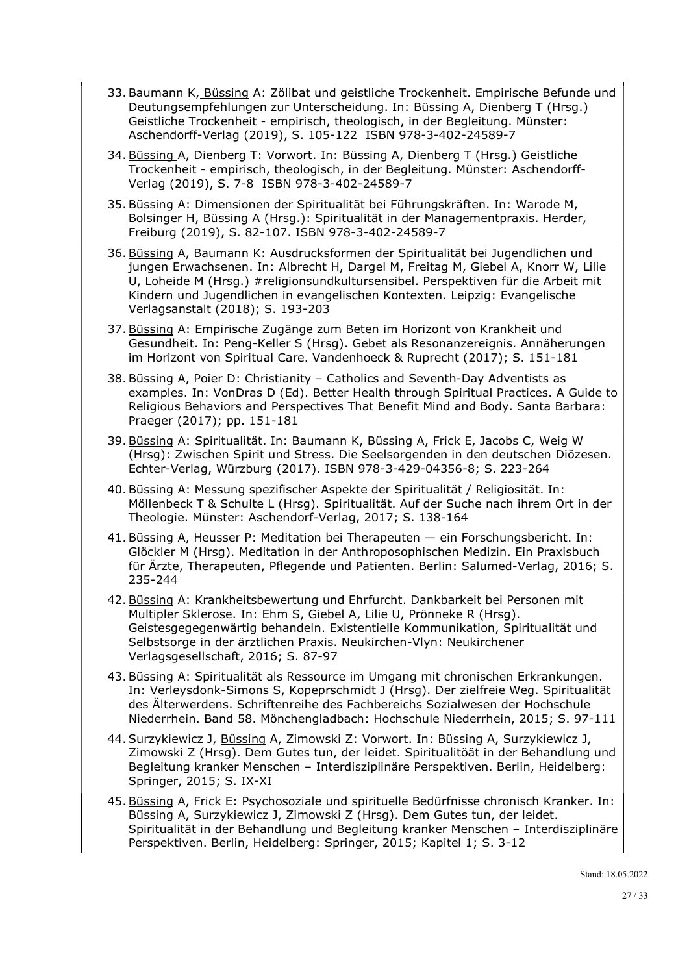- 33. Baumann K, Büssing A: Zölibat und geistliche Trockenheit. Empirische Befunde und Deutungsempfehlungen zur Unterscheidung. In: Büssing A, Dienberg T (Hrsg.) Geistliche Trockenheit - empirisch, theologisch, in der Begleitung. Münster: Aschendorff-Verlag (2019), S. 105-122 ISBN 978-3-402-24589-7
- 34. Büssing A, Dienberg T: Vorwort. In: Büssing A, Dienberg T (Hrsg.) Geistliche Trockenheit - empirisch, theologisch, in der Begleitung. Münster: Aschendorff-Verlag (2019), S. 7-8 ISBN 978-3-402-24589-7
- 35. Büssing A: Dimensionen der Spiritualität bei Führungskräften. In: Warode M, Bolsinger H, Büssing A (Hrsg.): Spiritualität in der Managementpraxis. Herder, Freiburg (2019), S. 82-107. ISBN 978-3-402-24589-7
- 36. Büssing A, Baumann K: Ausdrucksformen der Spiritualität bei Jugendlichen und jungen Erwachsenen. In: Albrecht H, Dargel M, Freitag M, Giebel A, Knorr W, Lilie U, Loheide M (Hrsg.) #religionsundkultursensibel. Perspektiven für die Arbeit mit Kindern und Jugendlichen in evangelischen Kontexten. Leipzig: Evangelische Verlagsanstalt (2018); S. 193-203
- 37. Büssing A: Empirische Zugänge zum Beten im Horizont von Krankheit und Gesundheit. In: Peng-Keller S (Hrsg). Gebet als Resonanzereignis. Annäherungen im Horizont von Spiritual Care. Vandenhoeck & Ruprecht (2017); S. 151-181
- 38. Büssing A, Poier D: Christianity Catholics and Seventh-Day Adventists as examples. In: VonDras D (Ed). Better Health through Spiritual Practices. A Guide to Religious Behaviors and Perspectives That Benefit Mind and Body. Santa Barbara: Praeger (2017); pp. 151-181
- 39. Büssing A: Spiritualität. In: Baumann K, Büssing A, Frick E, Jacobs C, Weig W (Hrsg): Zwischen Spirit und Stress. Die Seelsorgenden in den deutschen Diözesen. Echter-Verlag, Würzburg (2017). ISBN 978-3-429-04356-8; S. 223-264
- 40. Büssing A: Messung spezifischer Aspekte der Spiritualität / Religiosität. In: Möllenbeck T & Schulte L (Hrsg). Spiritualität. Auf der Suche nach ihrem Ort in der Theologie. Münster: Aschendorf-Verlag, 2017; S. 138-164
- 41. Büssing A, Heusser P: Meditation bei Therapeuten ein Forschungsbericht. In: Glöckler M (Hrsg). Meditation in der Anthroposophischen Medizin. Ein Praxisbuch für Ärzte, Therapeuten, Pflegende und Patienten. Berlin: Salumed-Verlag, 2016; S. 235-244
- 42. Büssing A: Krankheitsbewertung und Ehrfurcht. Dankbarkeit bei Personen mit Multipler Sklerose. In: Ehm S, Giebel A, Lilie U, Prönneke R (Hrsg). Geistesgegegenwärtig behandeln. Existentielle Kommunikation, Spiritualität und Selbstsorge in der ärztlichen Praxis. Neukirchen-Vlyn: Neukirchener Verlagsgesellschaft, 2016; S. 87-97
- 43. Büssing A: Spiritualität als Ressource im Umgang mit chronischen Erkrankungen. In: Verleysdonk-Simons S, Kopeprschmidt J (Hrsg). Der zielfreie Weg. Spiritualität des Älterwerdens. Schriftenreihe des Fachbereichs Sozialwesen der Hochschule Niederrhein. Band 58. Mönchengladbach: Hochschule Niederrhein, 2015; S. 97-111
- 44. Surzykiewicz J, Büssing A, Zimowski Z: Vorwort. In: Büssing A, Surzykiewicz J, Zimowski Z (Hrsg). Dem Gutes tun, der leidet. Spiritualitöät in der Behandlung und Begleitung kranker Menschen – Interdisziplinäre Perspektiven. Berlin, Heidelberg: Springer, 2015; S. IX-XI
- 45. Büssing A, Frick E: Psychosoziale und spirituelle Bedürfnisse chronisch Kranker. In: Büssing A, Surzykiewicz J, Zimowski Z (Hrsg). Dem Gutes tun, der leidet. Spiritualität in der Behandlung und Begleitung kranker Menschen – Interdisziplinäre Perspektiven. Berlin, Heidelberg: Springer, 2015; Kapitel 1; S. 3-12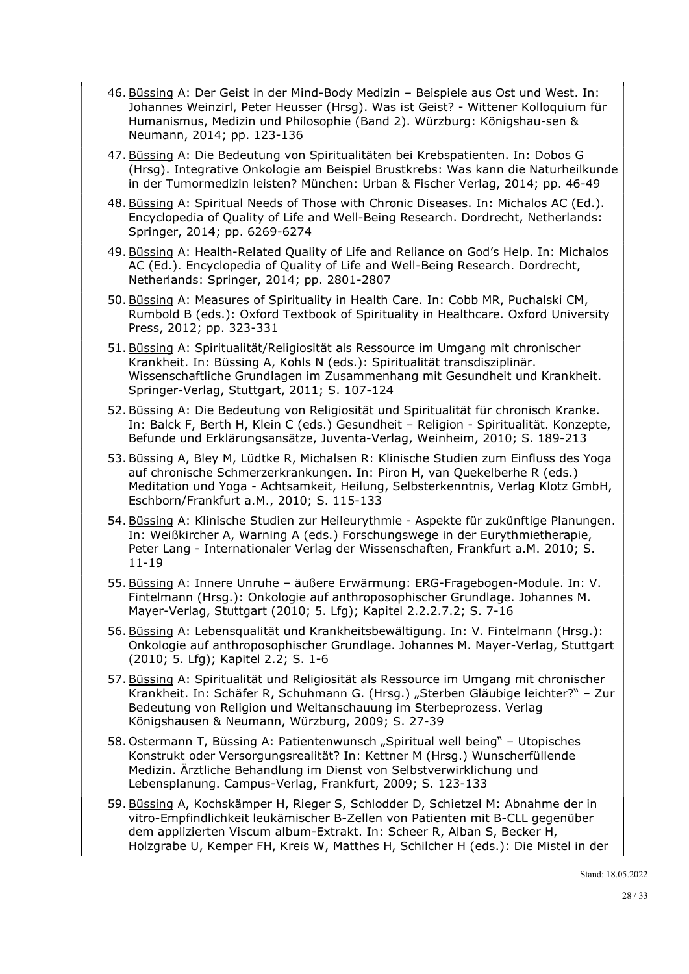- 46. Büssing A: Der Geist in der Mind-Body Medizin Beispiele aus Ost und West. In: Johannes Weinzirl, Peter Heusser (Hrsg). Was ist Geist? - Wittener Kolloquium für Humanismus, Medizin und Philosophie (Band 2). Würzburg: Königshau-sen & Neumann, 2014; pp. 123-136
- 47. Büssing A: Die Bedeutung von Spiritualitäten bei Krebspatienten. In: Dobos G (Hrsg). Integrative Onkologie am Beispiel Brustkrebs: Was kann die Naturheilkunde in der Tumormedizin leisten? München: Urban & Fischer Verlag, 2014; pp. 46-49
- 48. Büssing A: Spiritual Needs of Those with Chronic Diseases. In: Michalos AC (Ed.). Encyclopedia of Quality of Life and Well-Being Research. Dordrecht, Netherlands: Springer, 2014; pp. 6269-6274
- 49. Büssing A: Health-Related Quality of Life and Reliance on God's Help. In: Michalos AC (Ed.). Encyclopedia of Quality of Life and Well-Being Research. Dordrecht, Netherlands: Springer, 2014; pp. 2801-2807
- 50. Büssing A: Measures of Spirituality in Health Care. In: Cobb MR, Puchalski CM, Rumbold B (eds.): Oxford Textbook of Spirituality in Healthcare. Oxford University Press, 2012; pp. 323-331
- 51. Büssing A: Spiritualität/Religiosität als Ressource im Umgang mit chronischer Krankheit. In: Büssing A, Kohls N (eds.): Spiritualität transdisziplinär. Wissenschaftliche Grundlagen im Zusammenhang mit Gesundheit und Krankheit. Springer-Verlag, Stuttgart, 2011; S. 107-124
- 52. Büssing A: Die Bedeutung von Religiosität und Spiritualität für chronisch Kranke. In: Balck F, Berth H, Klein C (eds.) Gesundheit – Religion - Spiritualität. Konzepte, Befunde und Erklärungsansätze, Juventa-Verlag, Weinheim, 2010; S. 189-213
- 53. Büssing A, Bley M, Lüdtke R, Michalsen R: Klinische Studien zum Einfluss des Yoga auf chronische Schmerzerkrankungen. In: Piron H, van Quekelberhe R (eds.) Meditation und Yoga - Achtsamkeit, Heilung, Selbsterkenntnis, Verlag Klotz GmbH, Eschborn/Frankfurt a.M., 2010; S. 115-133
- 54. Büssing A: Klinische Studien zur Heileurythmie Aspekte für zukünftige Planungen. In: Weißkircher A, Warning A (eds.) Forschungswege in der Eurythmietherapie, Peter Lang - Internationaler Verlag der Wissenschaften, Frankfurt a.M. 2010; S. 11-19
- 55. Büssing A: Innere Unruhe äußere Erwärmung: ERG-Fragebogen-Module. In: V. Fintelmann (Hrsg.): Onkologie auf anthroposophischer Grundlage. Johannes M. Mayer-Verlag, Stuttgart (2010; 5. Lfg); Kapitel 2.2.2.7.2; S. 7-16
- 56. Büssing A: Lebensqualität und Krankheitsbewältigung. In: V. Fintelmann (Hrsg.): Onkologie auf anthroposophischer Grundlage. Johannes M. Mayer-Verlag, Stuttgart (2010; 5. Lfg); Kapitel 2.2; S. 1-6
- 57. Büssing A: Spiritualität und Religiosität als Ressource im Umgang mit chronischer Krankheit. In: Schäfer R, Schuhmann G. (Hrsg.) "Sterben Gläubige leichter?" – Zur Bedeutung von Religion und Weltanschauung im Sterbeprozess. Verlag Königshausen & Neumann, Würzburg, 2009; S. 27-39
- 58. Ostermann T, Büssing A: Patientenwunsch "Spiritual well being" Utopisches Konstrukt oder Versorgungsrealität? In: Kettner M (Hrsg.) Wunscherfüllende Medizin. Ärztliche Behandlung im Dienst von Selbstverwirklichung und Lebensplanung. Campus-Verlag, Frankfurt, 2009; S. 123-133
- 59. Büssing A, Kochskämper H, Rieger S, Schlodder D, Schietzel M: Abnahme der in vitro-Empfindlichkeit leukämischer B-Zellen von Patienten mit B-CLL gegenüber dem applizierten Viscum album-Extrakt. In: Scheer R, Alban S, Becker H, Holzgrabe U, Kemper FH, Kreis W, Matthes H, Schilcher H (eds.): Die Mistel in der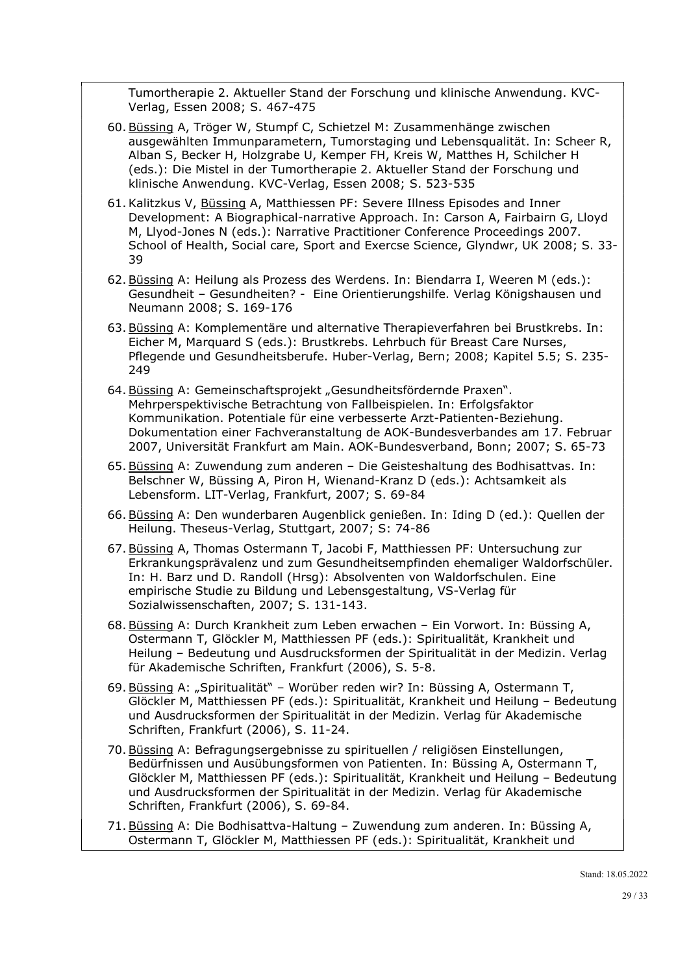Tumortherapie 2. Aktueller Stand der Forschung und klinische Anwendung. KVC-Verlag, Essen 2008; S. 467-475

- 60. Büssing A, Tröger W, Stumpf C, Schietzel M: Zusammenhänge zwischen ausgewählten Immunparametern, Tumorstaging und Lebensqualität. In: Scheer R, Alban S, Becker H, Holzgrabe U, Kemper FH, Kreis W, Matthes H, Schilcher H (eds.): Die Mistel in der Tumortherapie 2. Aktueller Stand der Forschung und klinische Anwendung. KVC-Verlag, Essen 2008; S. 523-535
- 61.Kalitzkus V, Büssing A, Matthiessen PF: Severe Illness Episodes and Inner Development: A Biographical-narrative Approach. In: Carson A, Fairbairn G, Lloyd M, Llyod-Jones N (eds.): Narrative Practitioner Conference Proceedings 2007. School of Health, Social care, Sport and Exercse Science, Glyndwr, UK 2008; S. 33- 39
- 62. Büssing A: Heilung als Prozess des Werdens. In: Biendarra I, Weeren M (eds.): Gesundheit – Gesundheiten? - Eine Orientierungshilfe. Verlag Königshausen und Neumann 2008; S. 169-176
- 63. Büssing A: Komplementäre und alternative Therapieverfahren bei Brustkrebs. In: Eicher M, Marquard S (eds.): Brustkrebs. Lehrbuch für Breast Care Nurses, Pflegende und Gesundheitsberufe. Huber-Verlag, Bern; 2008; Kapitel 5.5; S. 235- 249
- 64. Büssing A: Gemeinschaftsprojekt "Gesundheitsfördernde Praxen". Mehrperspektivische Betrachtung von Fallbeispielen. In: Erfolgsfaktor Kommunikation. Potentiale für eine verbesserte Arzt-Patienten-Beziehung. Dokumentation einer Fachveranstaltung de AOK-Bundesverbandes am 17. Februar 2007, Universität Frankfurt am Main. AOK-Bundesverband, Bonn; 2007; S. 65-73
- 65. Büssing A: Zuwendung zum anderen Die Geisteshaltung des Bodhisattvas. In: Belschner W, Büssing A, Piron H, Wienand-Kranz D (eds.): Achtsamkeit als Lebensform. LIT-Verlag, Frankfurt, 2007; S. 69-84
- 66. Büssing A: Den wunderbaren Augenblick genießen. In: Iding D (ed.): Quellen der Heilung. Theseus-Verlag, Stuttgart, 2007; S: 74-86
- 67. Büssing A, Thomas Ostermann T, Jacobi F, Matthiessen PF: Untersuchung zur Erkrankungsprävalenz und zum Gesundheitsempfinden ehemaliger Waldorfschüler. In: H. Barz und D. Randoll (Hrsg): Absolventen von Waldorfschulen. Eine empirische Studie zu Bildung und Lebensgestaltung, VS-Verlag für Sozialwissenschaften, 2007; S. 131-143.
- 68. Büssing A: Durch Krankheit zum Leben erwachen Ein Vorwort. In: Büssing A, Ostermann T, Glöckler M, Matthiessen PF (eds.): Spiritualität, Krankheit und Heilung – Bedeutung und Ausdrucksformen der Spiritualität in der Medizin. Verlag für Akademische Schriften, Frankfurt (2006), S. 5-8.
- 69. Büssing A: "Spiritualität" Worüber reden wir? In: Büssing A, Ostermann T, Glöckler M, Matthiessen PF (eds.): Spiritualität, Krankheit und Heilung – Bedeutung und Ausdrucksformen der Spiritualität in der Medizin. Verlag für Akademische Schriften, Frankfurt (2006), S. 11-24.
- 70. Büssing A: Befragungsergebnisse zu spirituellen / religiösen Einstellungen, Bedürfnissen und Ausübungsformen von Patienten. In: Büssing A, Ostermann T, Glöckler M, Matthiessen PF (eds.): Spiritualität, Krankheit und Heilung – Bedeutung und Ausdrucksformen der Spiritualität in der Medizin. Verlag für Akademische Schriften, Frankfurt (2006), S. 69-84.
- 71. Büssing A: Die Bodhisattva-Haltung Zuwendung zum anderen. In: Büssing A, Ostermann T, Glöckler M, Matthiessen PF (eds.): Spiritualität, Krankheit und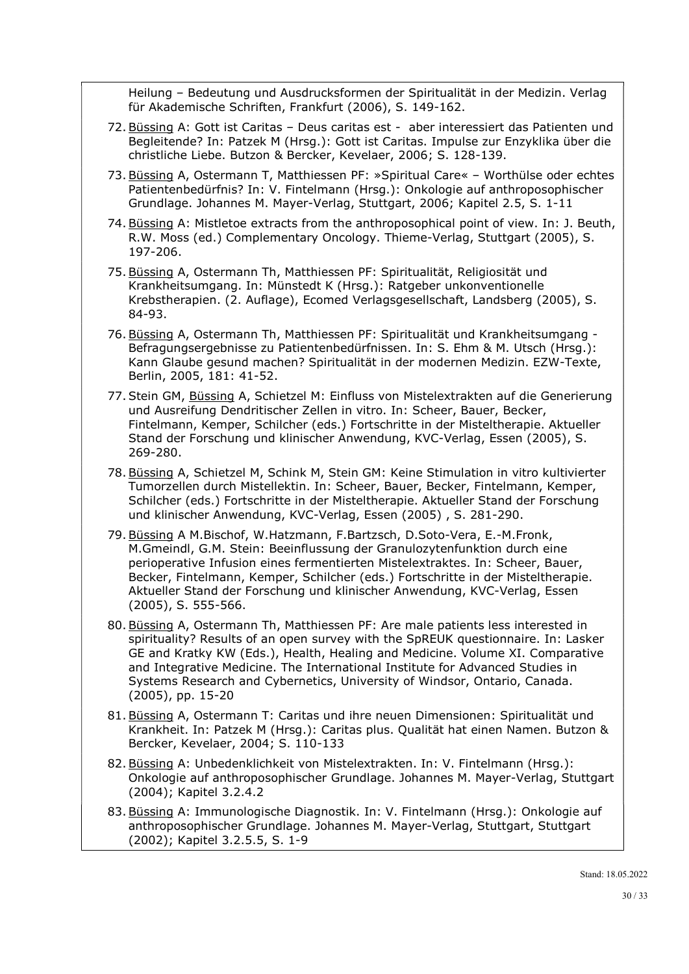Heilung – Bedeutung und Ausdrucksformen der Spiritualität in der Medizin. Verlag für Akademische Schriften, Frankfurt (2006), S. 149-162.

- 72. Büssing A: Gott ist Caritas Deus caritas est aber interessiert das Patienten und Begleitende? In: Patzek M (Hrsg.): Gott ist Caritas. Impulse zur Enzyklika über die christliche Liebe. Butzon & Bercker, Kevelaer, 2006; S. 128-139.
- 73. Büssing A, Ostermann T, Matthiessen PF: »Spiritual Care« Worthülse oder echtes Patientenbedürfnis? In: V. Fintelmann (Hrsg.): Onkologie auf anthroposophischer Grundlage. Johannes M. Mayer-Verlag, Stuttgart, 2006; Kapitel 2.5, S. 1-11
- 74. Büssing A: Mistletoe extracts from the anthroposophical point of view. In: J. Beuth, R.W. Moss (ed.) Complementary Oncology. Thieme-Verlag, Stuttgart (2005), S. 197-206.
- 75. Büssing A, Ostermann Th, Matthiessen PF: Spiritualität, Religiosität und Krankheitsumgang. In: Münstedt K (Hrsg.): Ratgeber unkonventionelle Krebstherapien. (2. Auflage), Ecomed Verlagsgesellschaft, Landsberg (2005), S. 84-93.
- 76. Büssing A, Ostermann Th, Matthiessen PF: Spiritualität und Krankheitsumgang Befragungsergebnisse zu Patientenbedürfnissen. In: S. Ehm & M. Utsch (Hrsg.): Kann Glaube gesund machen? Spiritualität in der modernen Medizin. EZW-Texte, Berlin, 2005, 181: 41-52.
- 77. Stein GM, Büssing A, Schietzel M: Einfluss von Mistelextrakten auf die Generierung und Ausreifung Dendritischer Zellen in vitro. In: Scheer, Bauer, Becker, Fintelmann, Kemper, Schilcher (eds.) Fortschritte in der Misteltherapie. Aktueller Stand der Forschung und klinischer Anwendung, KVC-Verlag, Essen (2005), S. 269-280.
- 78. Büssing A, Schietzel M, Schink M, Stein GM: Keine Stimulation in vitro kultivierter Tumorzellen durch Mistellektin. In: Scheer, Bauer, Becker, Fintelmann, Kemper, Schilcher (eds.) Fortschritte in der Misteltherapie. Aktueller Stand der Forschung und klinischer Anwendung, KVC-Verlag, Essen (2005) , S. 281-290.
- 79. Büssing A M.Bischof, W.Hatzmann, F.Bartzsch, D.Soto-Vera, E.-M.Fronk, M.Gmeindl, G.M. Stein: Beeinflussung der Granulozytenfunktion durch eine perioperative Infusion eines fermentierten Mistelextraktes. In: Scheer, Bauer, Becker, Fintelmann, Kemper, Schilcher (eds.) Fortschritte in der Misteltherapie. Aktueller Stand der Forschung und klinischer Anwendung, KVC-Verlag, Essen (2005), S. 555-566.
- 80. Büssing A, Ostermann Th, Matthiessen PF: Are male patients less interested in spirituality? Results of an open survey with the SpREUK questionnaire. In: Lasker GE and Kratky KW (Eds.), Health, Healing and Medicine. Volume XI. Comparative and Integrative Medicine. The International Institute for Advanced Studies in Systems Research and Cybernetics, University of Windsor, Ontario, Canada. (2005), pp. 15-20
- 81. Büssing A, Ostermann T: Caritas und ihre neuen Dimensionen: Spiritualität und Krankheit. In: Patzek M (Hrsg.): Caritas plus. Qualität hat einen Namen. Butzon & Bercker, Kevelaer, 2004; S. 110-133
- 82. Büssing A: Unbedenklichkeit von Mistelextrakten. In: V. Fintelmann (Hrsg.): Onkologie auf anthroposophischer Grundlage. Johannes M. Mayer-Verlag, Stuttgart (2004); Kapitel 3.2.4.2
- 83. Büssing A: Immunologische Diagnostik. In: V. Fintelmann (Hrsg.): Onkologie auf anthroposophischer Grundlage. Johannes M. Mayer-Verlag, Stuttgart, Stuttgart (2002); Kapitel 3.2.5.5, S. 1-9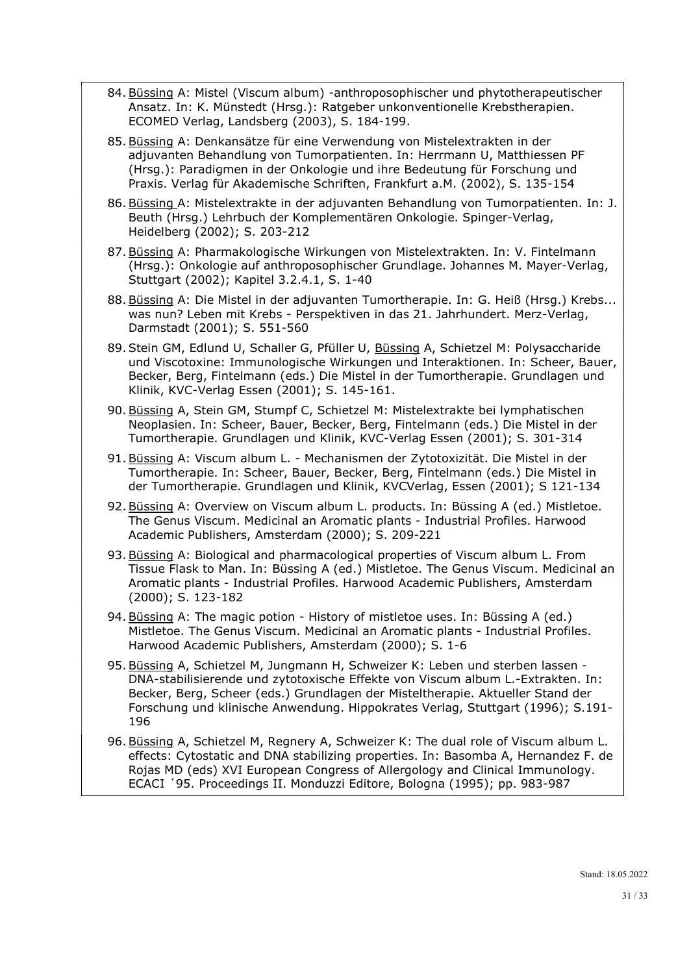- 84. Büssing A: Mistel (Viscum album) -anthroposophischer und phytotherapeutischer Ansatz. In: K. Münstedt (Hrsg.): Ratgeber unkonventionelle Krebstherapien. ECOMED Verlag, Landsberg (2003), S. 184-199.
- 85. Büssing A: Denkansätze für eine Verwendung von Mistelextrakten in der adjuvanten Behandlung von Tumorpatienten. In: Herrmann U, Matthiessen PF (Hrsg.): Paradigmen in der Onkologie und ihre Bedeutung für Forschung und Praxis. Verlag für Akademische Schriften, Frankfurt a.M. (2002), S. 135-154
- 86. Büssing A: Mistelextrakte in der adjuvanten Behandlung von Tumorpatienten. In: J. Beuth (Hrsg.) Lehrbuch der Komplementären Onkologie. Spinger-Verlag, Heidelberg (2002); S. 203-212
- 87. Büssing A: Pharmakologische Wirkungen von Mistelextrakten. In: V. Fintelmann (Hrsg.): Onkologie auf anthroposophischer Grundlage. Johannes M. Mayer-Verlag, Stuttgart (2002); Kapitel 3.2.4.1, S. 1-40
- 88. Büssing A: Die Mistel in der adjuvanten Tumortherapie. In: G. Heiß (Hrsg.) Krebs... was nun? Leben mit Krebs - Perspektiven in das 21. Jahrhundert. Merz-Verlag, Darmstadt (2001); S. 551-560
- 89. Stein GM, Edlund U, Schaller G, Pfüller U, Büssing A, Schietzel M: Polysaccharide und Viscotoxine: Immunologische Wirkungen und Interaktionen. In: Scheer, Bauer, Becker, Berg, Fintelmann (eds.) Die Mistel in der Tumortherapie. Grundlagen und Klinik, KVC-Verlag Essen (2001); S. 145-161.
- 90. Büssing A, Stein GM, Stumpf C, Schietzel M: Mistelextrakte bei lymphatischen Neoplasien. In: Scheer, Bauer, Becker, Berg, Fintelmann (eds.) Die Mistel in der Tumortherapie. Grundlagen und Klinik, KVC-Verlag Essen (2001); S. 301-314
- 91. Büssing A: Viscum album L. Mechanismen der Zytotoxizität. Die Mistel in der Tumortherapie. In: Scheer, Bauer, Becker, Berg, Fintelmann (eds.) Die Mistel in der Tumortherapie. Grundlagen und Klinik, KVCVerlag, Essen (2001); S 121-134
- 92. Büssing A: Overview on Viscum album L. products. In: Büssing A (ed.) Mistletoe. The Genus Viscum. Medicinal an Aromatic plants - Industrial Profiles. Harwood Academic Publishers, Amsterdam (2000); S. 209-221
- 93. Büssing A: Biological and pharmacological properties of Viscum album L. From Tissue Flask to Man. In: Büssing A (ed.) Mistletoe. The Genus Viscum. Medicinal an Aromatic plants - Industrial Profiles. Harwood Academic Publishers, Amsterdam (2000); S. 123-182
- 94. Büssing A: The magic potion History of mistletoe uses. In: Büssing A (ed.) Mistletoe. The Genus Viscum. Medicinal an Aromatic plants - Industrial Profiles. Harwood Academic Publishers, Amsterdam (2000); S. 1-6
- 95. Büssing A, Schietzel M, Jungmann H, Schweizer K: Leben und sterben lassen DNA-stabilisierende und zytotoxische Effekte von Viscum album L.-Extrakten. In: Becker, Berg, Scheer (eds.) Grundlagen der Misteltherapie. Aktueller Stand der Forschung und klinische Anwendung. Hippokrates Verlag, Stuttgart (1996); S.191- 196
- 96. Büssing A, Schietzel M, Regnery A, Schweizer K: The dual role of Viscum album L. effects: Cytostatic and DNA stabilizing properties. In: Basomba A, Hernandez F. de Rojas MD (eds) XVI European Congress of Allergology and Clinical Immunology. ECACI ´95. Proceedings II. Monduzzi Editore, Bologna (1995); pp. 983-987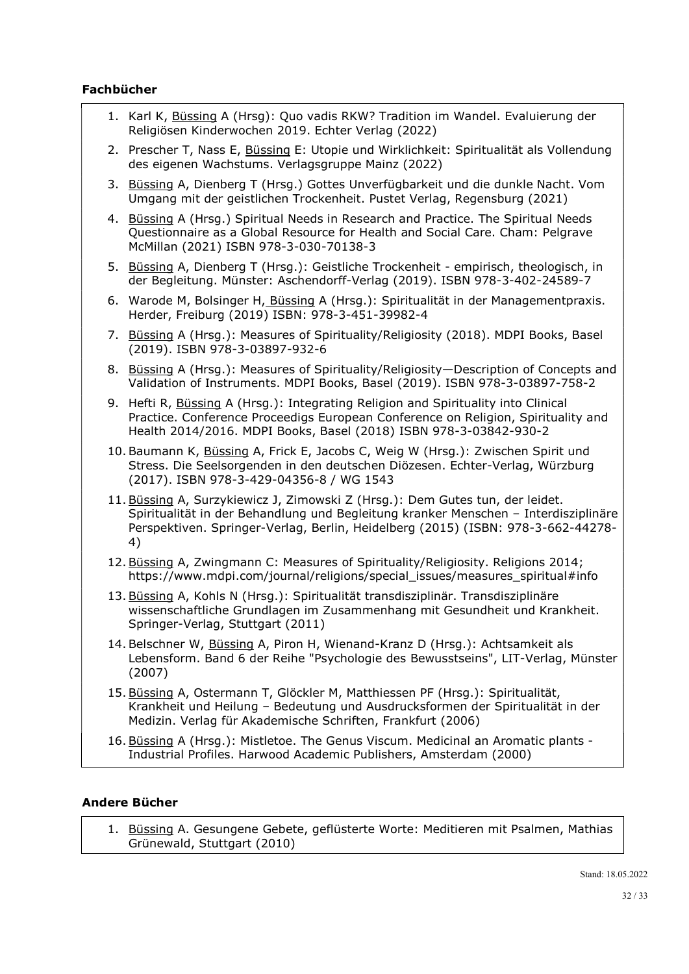## Fachbücher

- 1. Karl K, Büssing A (Hrsg): Quo vadis RKW? Tradition im Wandel. Evaluierung der Religiösen Kinderwochen 2019. Echter Verlag (2022)
- 2. Prescher T, Nass E, Büssing E: Utopie und Wirklichkeit: Spiritualität als Vollendung des eigenen Wachstums. Verlagsgruppe Mainz (2022)
- 3. Büssing A, Dienberg T (Hrsg.) Gottes Unverfügbarkeit und die dunkle Nacht. Vom Umgang mit der geistlichen Trockenheit. Pustet Verlag, Regensburg (2021)
- 4. Büssing A (Hrsg.) Spiritual Needs in Research and Practice. The Spiritual Needs Questionnaire as a Global Resource for Health and Social Care. Cham: Pelgrave McMillan (2021) ISBN 978-3-030-70138-3
- 5. Büssing A, Dienberg T (Hrsg.): Geistliche Trockenheit empirisch, theologisch, in der Begleitung. Münster: Aschendorff-Verlag (2019). ISBN 978-3-402-24589-7
- 6. Warode M, Bolsinger H, Büssing A (Hrsg.): Spiritualität in der Managementpraxis. Herder, Freiburg (2019) ISBN: 978-3-451-39982-4
- 7. Büssing A (Hrsg.): Measures of Spirituality/Religiosity (2018). MDPI Books, Basel (2019). ISBN 978-3-03897-932-6
- 8. Büssing A (Hrsg.): Measures of Spirituality/Religiosity—Description of Concepts and Validation of Instruments. MDPI Books, Basel (2019). ISBN 978-3-03897-758-2
- 9. Hefti R, Büssing A (Hrsg.): Integrating Religion and Spirituality into Clinical Practice. Conference Proceedigs European Conference on Religion, Spirituality and Health 2014/2016. MDPI Books, Basel (2018) ISBN 978-3-03842-930-2
- 10. Baumann K, Büssing A, Frick E, Jacobs C, Weig W (Hrsg.): Zwischen Spirit und Stress. Die Seelsorgenden in den deutschen Diözesen. Echter-Verlag, Würzburg (2017). ISBN 978-3-429-04356-8 / WG 1543
- 11. Büssing A, Surzykiewicz J, Zimowski Z (Hrsg.): Dem Gutes tun, der leidet. Spiritualität in der Behandlung und Begleitung kranker Menschen – Interdisziplinäre Perspektiven. Springer-Verlag, Berlin, Heidelberg (2015) (ISBN: 978-3-662-44278- 4)
- 12. Büssing A, Zwingmann C: Measures of Spirituality/Religiosity. Religions 2014; https://www.mdpi.com/journal/religions/special\_issues/measures\_spiritual#info
- 13. Büssing A, Kohls N (Hrsg.): Spiritualität transdisziplinär. Transdisziplinäre wissenschaftliche Grundlagen im Zusammenhang mit Gesundheit und Krankheit. Springer-Verlag, Stuttgart (2011)
- 14. Belschner W, Büssing A, Piron H, Wienand-Kranz D (Hrsg.): Achtsamkeit als Lebensform. Band 6 der Reihe "Psychologie des Bewusstseins", LIT-Verlag, Münster (2007)
- 15. Büssing A, Ostermann T, Glöckler M, Matthiessen PF (Hrsg.): Spiritualität, Krankheit und Heilung – Bedeutung und Ausdrucksformen der Spiritualität in der Medizin. Verlag für Akademische Schriften, Frankfurt (2006)
- 16. Büssing A (Hrsg.): Mistletoe. The Genus Viscum. Medicinal an Aromatic plants Industrial Profiles. Harwood Academic Publishers, Amsterdam (2000)

### Andere Bücher

1. Büssing A. Gesungene Gebete, geflüsterte Worte: Meditieren mit Psalmen, Mathias Grünewald, Stuttgart (2010)